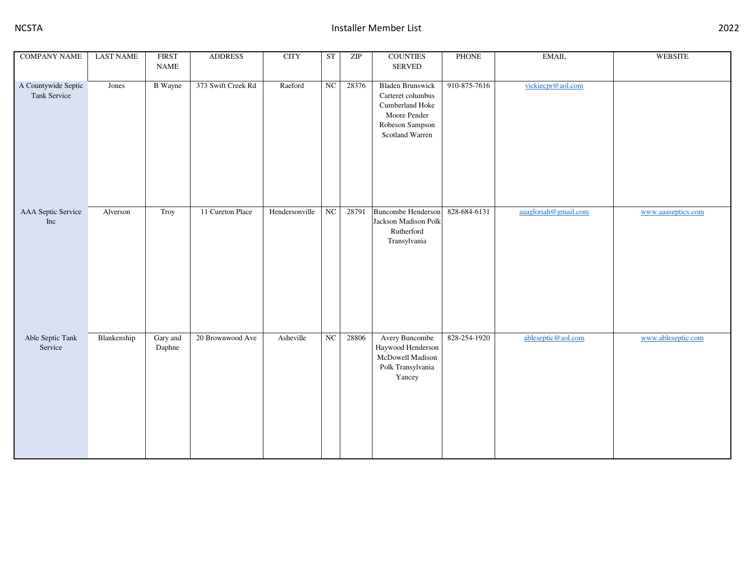| <b>COMPANY NAME</b>                 | <b>LAST NAME</b> | <b>FIRST</b><br><b>NAME</b> | <b>ADDRESS</b>     | <b>CITY</b>    | <b>ST</b> | $\ensuremath{\mathrm{ZIP}}$ | <b>COUNTIES</b><br>SERVED                                                                                             | PHONE        | $\operatorname{EMAIL}$ | <b>WEBSITE</b>     |
|-------------------------------------|------------------|-----------------------------|--------------------|----------------|-----------|-----------------------------|-----------------------------------------------------------------------------------------------------------------------|--------------|------------------------|--------------------|
| A Countywide Septic<br>Tank Service | Jones            | <b>B</b> Wayne              | 373 Swift Creek Rd | Raeford        | NC        | 28376                       | <b>Bladen Brunswick</b><br>Carteret columbus<br>Cumberland Hoke<br>Moore Pender<br>Robeson Sampson<br>Scotland Warren | 910-875-7616 | vickiecpr@aol.com      |                    |
| AAA Septic Service<br>Inc           | Alverson         | Troy                        | 11 Cureton Place   | Hendersonville | NC        | 28791                       | <b>Buncombe Henderson</b><br>Jackson Madison Polk<br>Rutherford<br>Transylvania                                       | 828-684-6131 | aaagloriah@gmail.com   | www.aaaseptics.com |
| Able Septic Tank<br>Service         | Blankenship      | Gary and<br>Daphne          | 20 Brownwood Ave   | Asheville      | NC        | 28806                       | Avery Buncombe<br>Haywood Henderson<br>McDowell Madison<br>Polk Transylvania<br>Yancey                                | 828-254-1920 | ableseptic@aol.com     | www.ableseptic.com |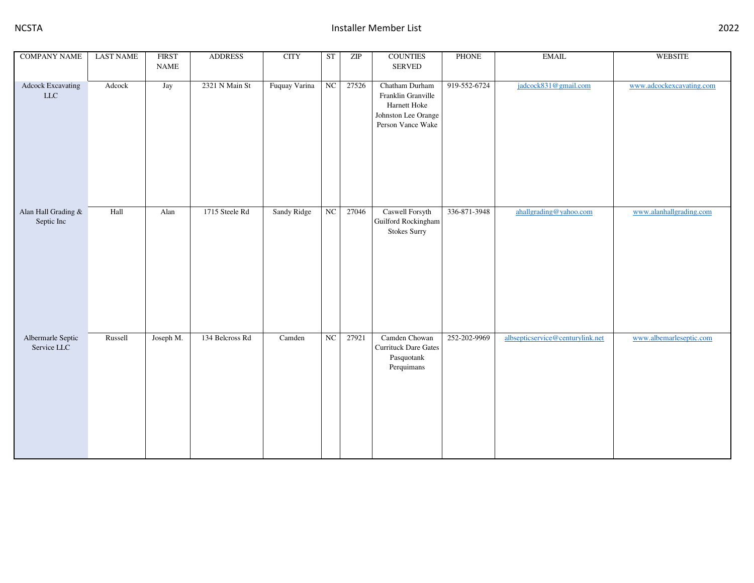| <b>COMPANY NAME</b>                     | <b>LAST NAME</b> | <b>FIRST</b><br>$\ensuremath{\mathsf{NAME}}$ | <b>ADDRESS</b>  | <b>CITY</b>   | <b>ST</b> | ZIP   | <b>COUNTIES</b><br><b>SERVED</b>                                                                 | PHONE        | $\text{EMAIL}$                   | <b>WEBSITE</b>           |
|-----------------------------------------|------------------|----------------------------------------------|-----------------|---------------|-----------|-------|--------------------------------------------------------------------------------------------------|--------------|----------------------------------|--------------------------|
|                                         |                  |                                              |                 |               |           |       |                                                                                                  |              |                                  |                          |
| <b>Adcock Excavating</b><br>${\rm LLC}$ | Adcock           | Jay                                          | 2321 N Main St  | Fuquay Varina | NC        | 27526 | Chatham Durham<br>Franklin Granville<br>Harnett Hoke<br>Johnston Lee Orange<br>Person Vance Wake | 919-552-6724 | jadcock831@gmail.com             | www.adcockexcavating.com |
| Alan Hall Grading &<br>Septic Inc       | Hall             | Alan                                         | 1715 Steele Rd  | Sandy Ridge   | NC        | 27046 | Caswell Forsyth<br>Guilford Rockingham<br>Stokes Surry                                           | 336-871-3948 | ahallgrading@yahoo.com           | www.alanhallgrading.com  |
| Albermarle Septic<br>Service LLC        | Russell          | Joseph M.                                    | 134 Belcross Rd | Camden        | NC        | 27921 | Camden Chowan<br><b>Currituck Dare Gates</b><br>Pasquotank<br>Perquimans                         | 252-202-9969 | albsepticservice@centurylink.net | www.albemarleseptic.com  |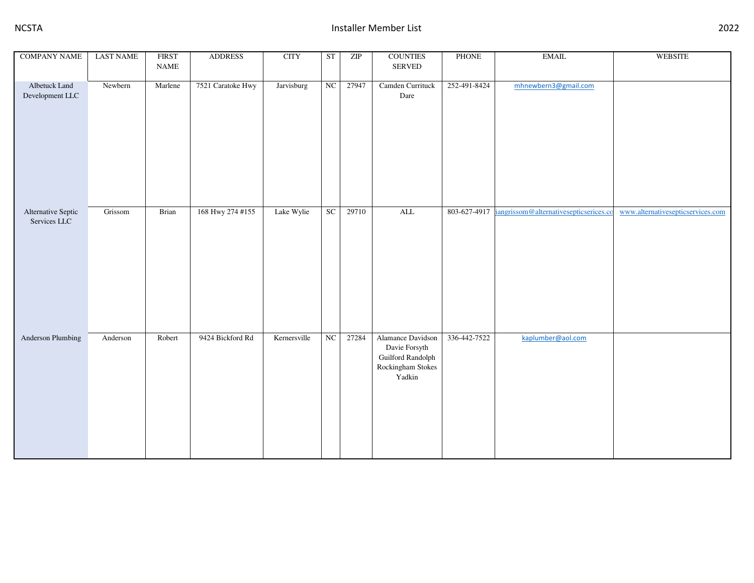| <b>COMPANY NAME</b>              | <b>LAST NAME</b> | <b>FIRST</b><br>$\ensuremath{\mathsf{NAME}}$ | <b>ADDRESS</b>    | <b>CITY</b>  | <b>ST</b> | ZIP   | <b>COUNTIES</b><br>SERVED                                                              | PHONE        | $\operatorname{EMAIL}$                 | WEBSITE                           |
|----------------------------------|------------------|----------------------------------------------|-------------------|--------------|-----------|-------|----------------------------------------------------------------------------------------|--------------|----------------------------------------|-----------------------------------|
|                                  |                  |                                              |                   |              |           |       |                                                                                        |              |                                        |                                   |
| Albetuck Land<br>Development LLC | Newbern          | Marlene                                      | 7521 Caratoke Hwy | Jarvisburg   | NC        | 27947 | Camden Currituck<br>Dare                                                               | 252-491-8424 | mhnewbern3@gmail.com                   |                                   |
| Alternative Septic               | Grissom          | Brian                                        | 168 Hwy 274 #155  | Lake Wylie   | SC        | 29710 | ALL                                                                                    | 803-627-4917 | iangrissom@alternativesepticserices.co | www.alternativesepticservices.com |
| Services LLC                     |                  |                                              |                   |              |           |       |                                                                                        |              |                                        |                                   |
| Anderson Plumbing                | Anderson         | Robert                                       | 9424 Bickford Rd  | Kernersville | NC        | 27284 | Alamance Davidson<br>Davie Forsyth<br>Guilford Randolph<br>Rockingham Stokes<br>Yadkin | 336-442-7522 | kaplumber@aol.com                      |                                   |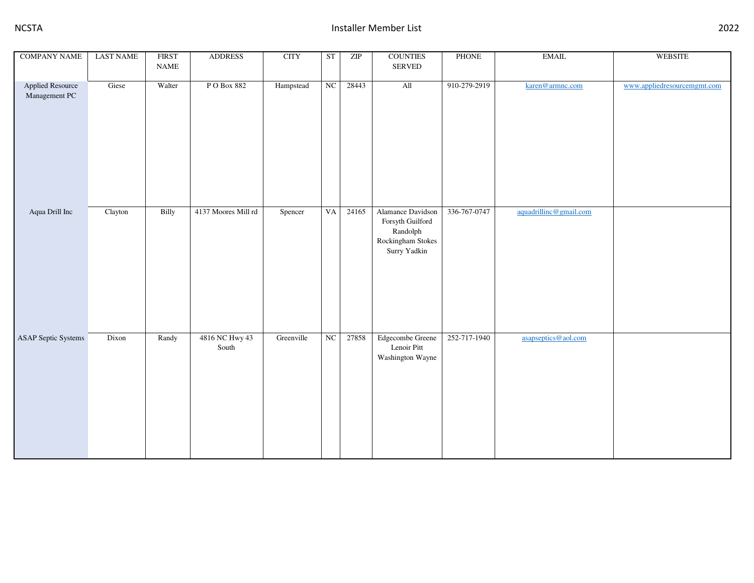| <b>COMPANY NAME</b>               | <b>LAST NAME</b> | <b>FIRST</b><br>$\ensuremath{\mathsf{NAME}}$ | <b>ADDRESS</b>          | <b>CITY</b> | ST | ZIP   | <b>COUNTIES</b><br><b>SERVED</b>                                                       | PHONE        | $\operatorname{EMAIL}$ | WEBSITE                     |
|-----------------------------------|------------------|----------------------------------------------|-------------------------|-------------|----|-------|----------------------------------------------------------------------------------------|--------------|------------------------|-----------------------------|
| Applied Resource<br>Management PC | Giese            | Walter                                       | P O Box 882             | Hampstead   | NC | 28443 | All                                                                                    | 910-279-2919 | karen@armnc.com        | www.appliedresourcemgmt.com |
| Aqua Drill Inc                    | Clayton          | <b>Billy</b>                                 | 4137 Moores Mill rd     | Spencer     | VA | 24165 | Alamance Davidson<br>Forsyth Guilford<br>Randolph<br>Rockingham Stokes<br>Surry Yadkin | 336-767-0747 | aquadrillinc@gmail.com |                             |
| <b>ASAP Septic Systems</b>        | Dixon            | Randy                                        | 4816 NC Hwy 43<br>South | Greenville  | NC | 27858 | Edgecombe Greene<br>Lenoir Pitt<br>Washington Wayne                                    | 252-717-1940 | asapseptics@aol.com    |                             |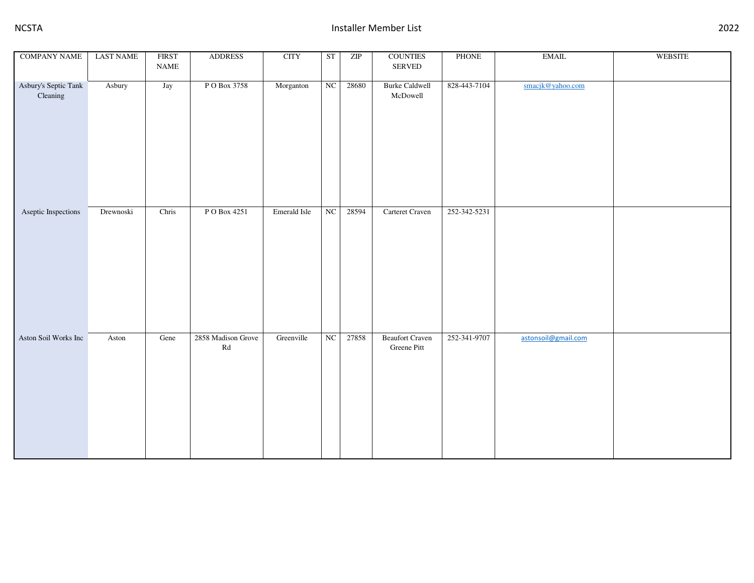| <b>COMPANY NAME</b>              | <b>LAST NAME</b> | <b>FIRST</b><br>$\ensuremath{\mathsf{NAME}}$ | <b>ADDRESS</b>                               | <b>CITY</b>  | ST | ZIP   | <b>COUNTIES</b><br>SERVED             | PHONE        | $\operatorname{EMAIL}$ | WEBSITE |
|----------------------------------|------------------|----------------------------------------------|----------------------------------------------|--------------|----|-------|---------------------------------------|--------------|------------------------|---------|
| Asbury's Septic Tank<br>Cleaning | Asbury           | Jay                                          | P O Box 3758                                 | Morganton    | NC | 28680 | <b>Burke Caldwell</b><br>McDowell     | 828-443-7104 | smacjk@yahoo.com       |         |
| Aseptic Inspections              | Drewnoski        | Chris                                        | P O Box 4251                                 | Emerald Isle | NC | 28594 | Carteret Craven                       | 252-342-5231 |                        |         |
| Aston Soil Works Inc             | Aston            | Gene                                         | 2858 Madison Grove<br>$\mathbb{R}\mathrm{d}$ | Greenville   | NC | 27858 | <b>Beaufort Craven</b><br>Greene Pitt | 252-341-9707 | astonsoil@gmail.com    |         |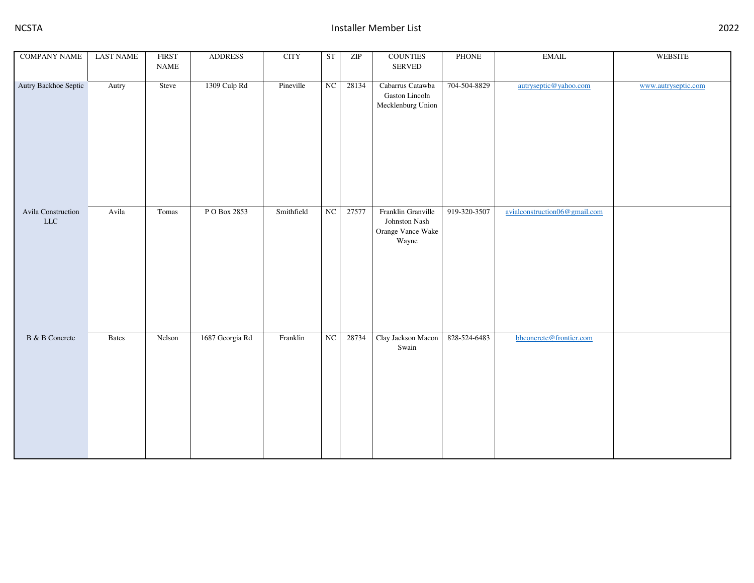| <b>COMPANY NAME</b>                | <b>LAST NAME</b> | <b>FIRST</b><br>NAME | <b>ADDRESS</b>  | <b>CITY</b> | ST | ZIP   | <b>COUNTIES</b><br>SERVED                                         | PHONE        | <b>EMAIL</b>                  | WEBSITE             |
|------------------------------------|------------------|----------------------|-----------------|-------------|----|-------|-------------------------------------------------------------------|--------------|-------------------------------|---------------------|
| Autry Backhoe Septic               | Autry            | Steve                | 1309 Culp Rd    | Pineville   | NC | 28134 | Cabarrus Catawba<br>Gaston Lincoln<br>Mecklenburg Union           | 704-504-8829 | autryseptic@yahoo.com         | www.autryseptic.com |
| Avila Construction<br>$_{\rm LLC}$ | Avila            | Tomas                | P O Box 2853    | Smithfield  | NC | 27577 | Franklin Granville<br>Johnston Nash<br>Orange Vance Wake<br>Wayne | 919-320-3507 | avialconstruction06@gmail.com |                     |
| B & B Concrete                     | Bates            | Nelson               | 1687 Georgia Rd | Franklin    | NC | 28734 | Clay Jackson Macon<br>Swain                                       | 828-524-6483 | bbconcrete@frontier.com       |                     |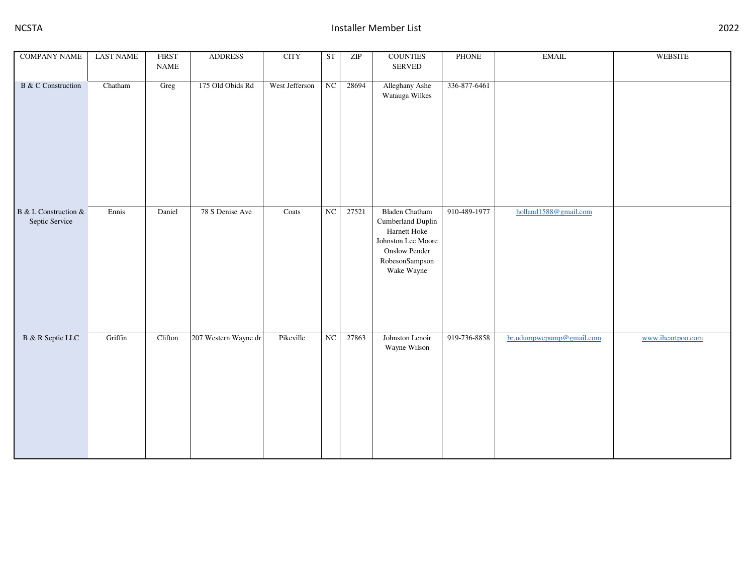| <b>COMPANY NAME</b>                    | <b>LAST NAME</b> | <b>FIRST</b><br>$\ensuremath{\mathsf{NAME}}$ | <b>ADDRESS</b>       | <b>CITY</b>    | ST          | $\ensuremath{\mathrm{ZIP}}$ | <b>COUNTIES</b><br>SERVED                                                                                                         | PHONE        | $\operatorname{EMAIL}$   | <b>WEBSITE</b>    |
|----------------------------------------|------------------|----------------------------------------------|----------------------|----------------|-------------|-----------------------------|-----------------------------------------------------------------------------------------------------------------------------------|--------------|--------------------------|-------------------|
| B & C Construction                     | Chatham          | Greg                                         | 175 Old Obids Rd     | West Jefferson | NC          | 28694                       | Alleghany Ashe<br>Watauga Wilkes                                                                                                  | 336-877-6461 |                          |                   |
| B & L Construction &<br>Septic Service | Ennis            | Daniel                                       | 78 S Denise Ave      | Coats          | $_{\rm NC}$ | 27521                       | <b>Bladen Chatham</b><br>Cumberland Duplin<br>Harnett Hoke<br>Johnston Lee Moore<br>Onslow Pender<br>RobesonSampson<br>Wake Wayne | 910-489-1977 | holland1588@gmail.com    |                   |
| B & R Septic LLC                       | Griffin          | Clifton                                      | 207 Western Wayne dr | Pikeville      | NC          | 27863                       | Johnston Lenoir<br>Wayne Wilson                                                                                                   | 919-736-8858 | br.udumpwepump@gmail.com | www.iheartpoo.com |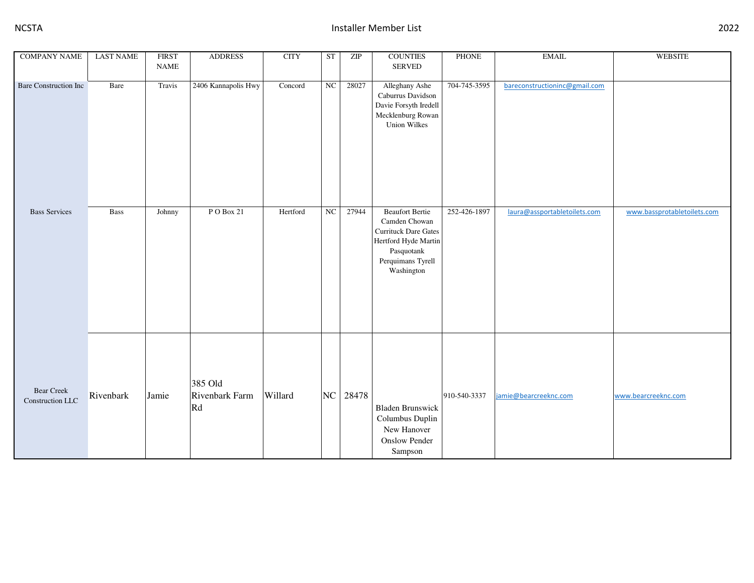| <b>COMPANY NAME</b>                   | <b>LAST NAME</b> | <b>FIRST</b><br><b>NAME</b> | <b>ADDRESS</b>                                      | $\rm CITY$ | <b>ST</b> | $\ensuremath{\mathrm{ZIP}}$ | <b>COUNTIES</b><br><b>SERVED</b>                                                                                                                | PHONE        | $\text{EMAIL}$                | WEBSITE                     |
|---------------------------------------|------------------|-----------------------------|-----------------------------------------------------|------------|-----------|-----------------------------|-------------------------------------------------------------------------------------------------------------------------------------------------|--------------|-------------------------------|-----------------------------|
|                                       |                  |                             |                                                     |            |           |                             |                                                                                                                                                 |              |                               |                             |
| <b>Bare Construction Inc</b>          | Bare             | Travis                      | 2406 Kannapolis Hwy                                 | Concord    | NC        | 28027                       | Alleghany Ashe<br>Caburrus Davidson<br>Davie Forsyth Iredell<br>Mecklenburg Rowan<br><b>Union Wilkes</b>                                        | 704-745-3595 | bareconstructioninc@gmail.com |                             |
| <b>Bass Services</b>                  | Bass             | Johnny                      | P O Box 21                                          | Hertford   | NC        | 27944                       | <b>Beaufort Bertie</b><br>Camden Chowan<br><b>Currituck Dare Gates</b><br>Hertford Hyde Martin<br>Pasquotank<br>Perquimans Tyrell<br>Washington | 252-426-1897 | laura@assportabletoilets.com  | www.bassprotabletoilets.com |
| <b>Bear Creek</b><br>Construction LLC | Rivenbark        | Jamie                       | 385 Old<br>Rivenbark Farm<br>$\mathbf{R}\mathbf{d}$ | Willard    | NC        | 28478                       | <b>Bladen Brunswick</b><br>Columbus Duplin<br>New Hanover<br><b>Onslow Pender</b><br>Sampson                                                    | 910-540-3337 | jamie@bearcreeknc.com         | www.bearcreeknc.com         |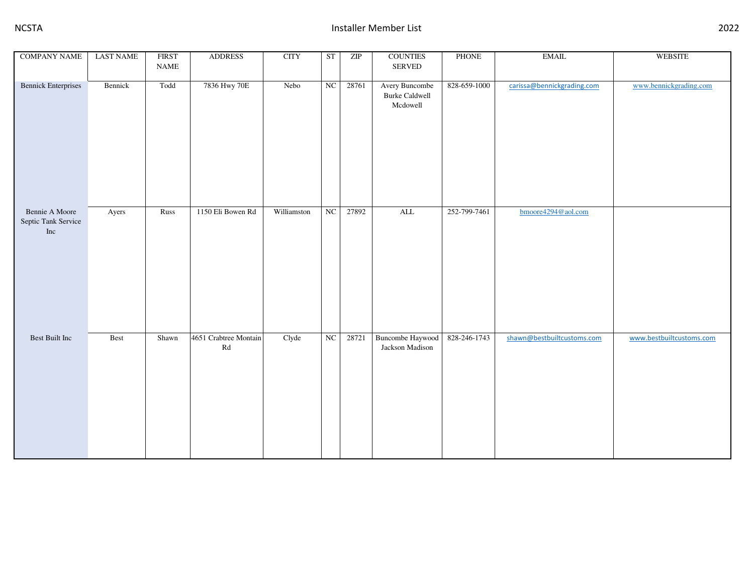| <b>COMPANY NAME</b>                          | <b>LAST NAME</b> | <b>FIRST</b><br>$\ensuremath{\mathsf{NAME}}$ | <b>ADDRESS</b>                                  | $\rm CITY$  | ST | $\ensuremath{\mathrm{ZIP}}$ | <b>COUNTIES</b><br>SERVED                           | PHONE        | <b>EMAIL</b>               | WEBSITE                  |
|----------------------------------------------|------------------|----------------------------------------------|-------------------------------------------------|-------------|----|-----------------------------|-----------------------------------------------------|--------------|----------------------------|--------------------------|
| <b>Bennick Enterprises</b>                   | Bennick          | Todd                                         | 7836 Hwy 70E                                    | Nebo        | NC | 28761                       | Avery Buncombe<br><b>Burke Caldwell</b><br>Mcdowell | 828-659-1000 | carissa@bennickgrading.com | www.bennickgrading.com   |
| Bennie A Moore<br>Septic Tank Service<br>Inc | Ayers            | Russ                                         | 1150 Eli Bowen Rd                               | Williamston | NC | 27892                       | <b>ALL</b>                                          | 252-799-7461 | bmoore4294@aol.com         |                          |
| Best Built Inc                               | Best             | Shawn                                        | 4651 Crabtree Montain<br>$\mathbf{R}\mathbf{d}$ | Clyde       | NC | 28721                       | <b>Buncombe Haywood</b><br>Jackson Madison          | 828-246-1743 | shawn@bestbuiltcustoms.com | www.bestbuiltcustoms.com |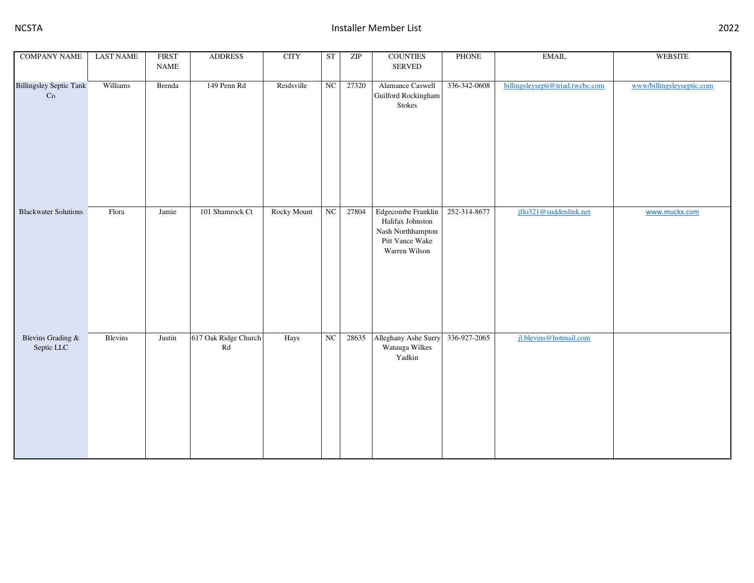| <b>COMPANY NAME</b>                  | <b>LAST NAME</b> | <b>FIRST</b><br>$\ensuremath{\mathsf{NAME}}$ | <b>ADDRESS</b>                                     | <b>CITY</b> | <b>ST</b> | $\overline{\text{ZIP}}$ | <b>COUNTIES</b><br>SERVED                                                                       | PHONE        | $\text{EMAIL}$                   | <b>WEBSITE</b>            |
|--------------------------------------|------------------|----------------------------------------------|----------------------------------------------------|-------------|-----------|-------------------------|-------------------------------------------------------------------------------------------------|--------------|----------------------------------|---------------------------|
| <b>Billingsley Septic Tank</b><br>Co | Williams         | Brenda                                       | 149 Penn Rd                                        | Reidsville  | NC        | 27320                   | Alamance Caswell<br>Guilford Rockingham<br>Stokes                                               | 336-342-0608 | billingsleysepti@triad.twcbc.com | www/billingsleyseptic.com |
| <b>Blackwater Solutions</b>          | Flora            | Jamie                                        | 101 Shamrock Ct                                    | Rocky Mount | NC        | 27804                   | Edgecombe Franklin<br>Halifax Johnston<br>Nash Northhampton<br>Pitt Vance Wake<br>Warren Wilson | 252-314-8677 | jflo321@suddenlink.net           | www.muckx.com             |
| Blevins Grading &<br>Septic LLC      | Blevins          | Justin                                       | 617 Oak Ridge Church<br>$\mathop{\rm Rd}\nolimits$ | Hays        | NC        | 28635                   | Alleghany Ashe Surry<br>Watauga Wilkes<br>Yadkin                                                | 336-927-2065 | jl.blevins@hotmail.com           |                           |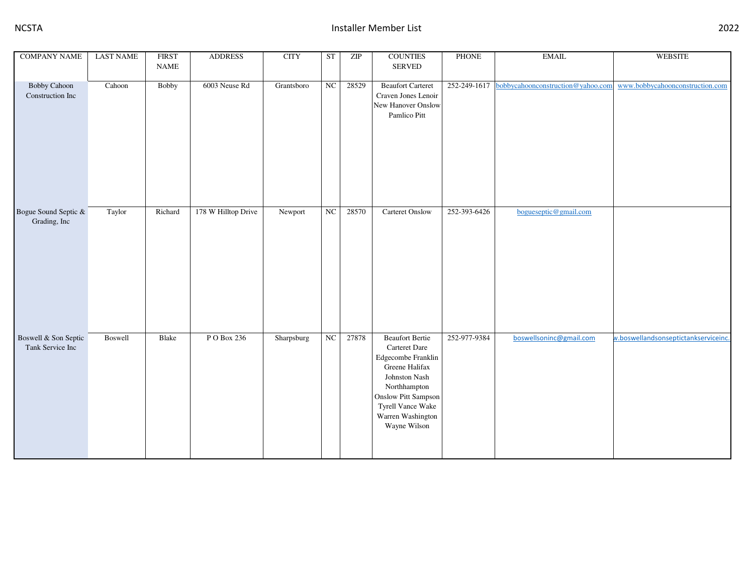| <b>COMPANY NAME</b>                      | <b>LAST NAME</b> | <b>FIRST</b><br><b>NAME</b> | <b>ADDRESS</b>      | <b>CITY</b> | <b>ST</b>   | ZIP   | <b>COUNTIES</b><br><b>SERVED</b>                                                                                                                                                                         | <b>PHONE</b> | $\operatorname{EMAIL}$            | WEBSITE                              |
|------------------------------------------|------------------|-----------------------------|---------------------|-------------|-------------|-------|----------------------------------------------------------------------------------------------------------------------------------------------------------------------------------------------------------|--------------|-----------------------------------|--------------------------------------|
| <b>Bobby Cahoon</b><br>Construction Inc  | Cahoon           | Bobby                       | 6003 Neuse Rd       | Grantsboro  | $_{\rm NC}$ | 28529 | <b>Beaufort Carteret</b><br>Craven Jones Lenoir<br>New Hanover Onslow<br>Pamlico Pitt                                                                                                                    | 252-249-1617 | bobbycahoonconstruction@yahoo.com | www.bobbycahoonconstruction.com      |
| Bogue Sound Septic &<br>Grading, Inc     | Taylor           | Richard                     | 178 W Hilltop Drive | Newport     | NC          | 28570 | <b>Carteret Onslow</b>                                                                                                                                                                                   | 252-393-6426 | bogueseptic@gmail.com             |                                      |
| Boswell & Son Septic<br>Tank Service Inc | Boswell          | Blake                       | P O Box 236         | Sharpsburg  | NC          | 27878 | <b>Beaufort Bertie</b><br>Carteret Dare<br>Edgecombe Franklin<br>Greene Halifax<br>Johnston Nash<br>Northhampton<br><b>Onslow Pitt Sampson</b><br>Tyrell Vance Wake<br>Warren Washington<br>Wayne Wilson | 252-977-9384 | boswellsoninc@gmail.com           | w.boswellandsonseptictankserviceinc. |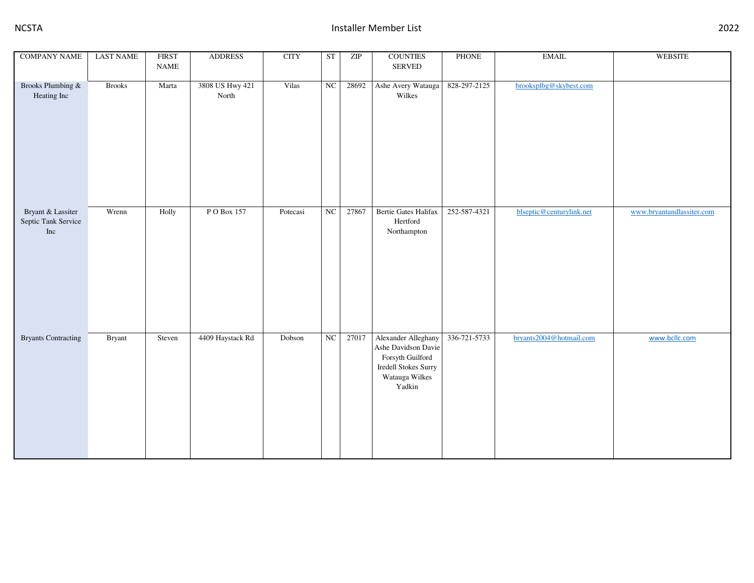| <b>COMPANY NAME</b>                                                                                                                                 | <b>LAST NAME</b> | <b>FIRST</b><br>$\ensuremath{\mathsf{NAME}}$ | <b>ADDRESS</b>           | $\rm CITY$ | <b>ST</b> | $\ensuremath{\mathrm{ZIP}}$ | <b>COUNTIES</b><br>SERVED                                                                                          | PHONE        | $\operatorname{EMAIL}$   | <b>WEBSITE</b>            |
|-----------------------------------------------------------------------------------------------------------------------------------------------------|------------------|----------------------------------------------|--------------------------|------------|-----------|-----------------------------|--------------------------------------------------------------------------------------------------------------------|--------------|--------------------------|---------------------------|
| Brooks Plumbing &<br>Heating Inc                                                                                                                    | <b>Brooks</b>    | Marta                                        | 3808 US Hwy 421<br>North | Vilas      | NC        | 28692                       | Ashe Avery Watauga<br>Wilkes                                                                                       | 828-297-2125 | brooksplbg@skybest.com   |                           |
| Bryant & Lassiter<br>Septic Tank Service<br>$\operatorname*{Inc}% \nolimits_{\mathbb{Z}}\left( \mathbb{Z}^{\Sigma\left( 1\right) }\right) ^{\ast }$ | Wrenn            | Holly                                        | PO Box 157               | Potecasi   | NC        | 27867                       | Bertie Gates Halifax<br>Hertford<br>Northampton                                                                    | 252-587-4321 | blseptic@centurylink.net | www.bryantandlassiter.com |
| <b>Bryants Contracting</b>                                                                                                                          | Bryant           | Steven                                       | 4409 Haystack Rd         | Dobson     | NC        | 27017                       | Alexander Alleghany<br>Ashe Davidson Davie<br>Forsyth Guilford<br>Iredell Stokes Surry<br>Watauga Wilkes<br>Yadkin | 336-721-5733 | bryants2004@hotmail.com  | www.bcllc.com             |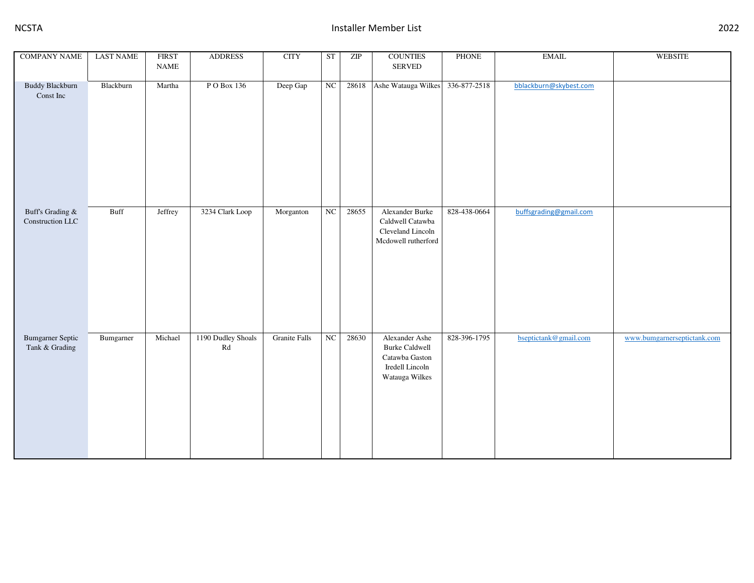| <b>COMPANY NAME</b>                       | <b>LAST NAME</b> | <b>FIRST</b><br>$\ensuremath{\mathsf{NAME}}$ | <b>ADDRESS</b>                               | <b>CITY</b>          | <b>ST</b> | ZIP   | <b>COUNTIES</b><br>SERVED                                                                      | PHONE        | $\operatorname{EMAIL}$ | WEBSITE                     |
|-------------------------------------------|------------------|----------------------------------------------|----------------------------------------------|----------------------|-----------|-------|------------------------------------------------------------------------------------------------|--------------|------------------------|-----------------------------|
| <b>Buddy Blackburn</b><br>Const Inc       | Blackburn        | Martha                                       | P O Box 136                                  | Deep Gap             | NC        | 28618 | Ashe Watauga Wilkes                                                                            | 336-877-2518 | bblackburn@skybest.com |                             |
| Buff's Grading $\&$<br>Construction LLC   | <b>Buff</b>      | Jeffrey                                      | 3234 Clark Loop                              | Morganton            | NC        | 28655 | Alexander Burke<br>Caldwell Catawba<br>Cleveland Lincoln<br>Mcdowell rutherford                | 828-438-0664 | buffsgrading@gmail.com |                             |
| <b>Bumgarner Septic</b><br>Tank & Grading | Bumgarner        | Michael                                      | 1190 Dudley Shoals<br>$\mathbb{R}\mathrm{d}$ | <b>Granite Falls</b> | NC        | 28630 | Alexander Ashe<br><b>Burke Caldwell</b><br>Catawba Gaston<br>Iredell Lincoln<br>Watauga Wilkes | 828-396-1795 | bseptictank@gmail.com  | www.bumgarnerseptictank.com |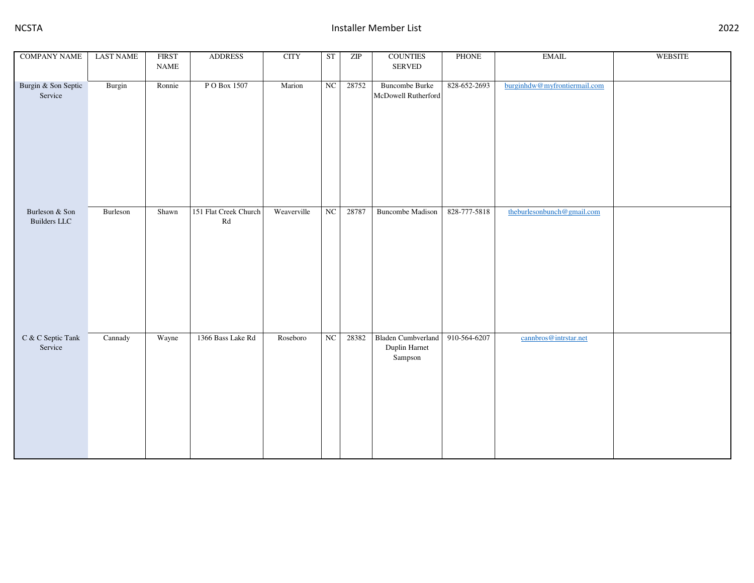| <b>COMPANY NAME</b>                   | <b>LAST NAME</b> | <b>FIRST</b><br>$\ensuremath{\mathsf{NAME}}$ | <b>ADDRESS</b>                                      | <b>CITY</b> | ST | ZIP   | <b>COUNTIES</b><br>SERVED                             | PHONE        | $\operatorname{EMAIL}$       | <b>WEBSITE</b> |
|---------------------------------------|------------------|----------------------------------------------|-----------------------------------------------------|-------------|----|-------|-------------------------------------------------------|--------------|------------------------------|----------------|
| Burgin & Son Septic<br>Service        | Burgin           | Ronnie                                       | P O Box 1507                                        | Marion      | NC | 28752 | <b>Buncombe Burke</b><br>McDowell Rutherford          | 828-652-2693 | burginhdw@myfrontiermail.com |                |
| Burleson & Son<br><b>Builders LLC</b> | Burleson         | Shawn                                        | 151 Flat Creek Church<br>$\mathop{\rm Rd}\nolimits$ | Weaverville | NC | 28787 | <b>Buncombe Madison</b>                               | 828-777-5818 | theburlesonbunch@gmail.com   |                |
| C & C Septic Tank<br>Service          | Cannady          | Wayne                                        | 1366 Bass Lake Rd                                   | Roseboro    | NC | 28382 | <b>Bladen Cumbverland</b><br>Duplin Harnet<br>Sampson | 910-564-6207 | cannbros@intrstar.net        |                |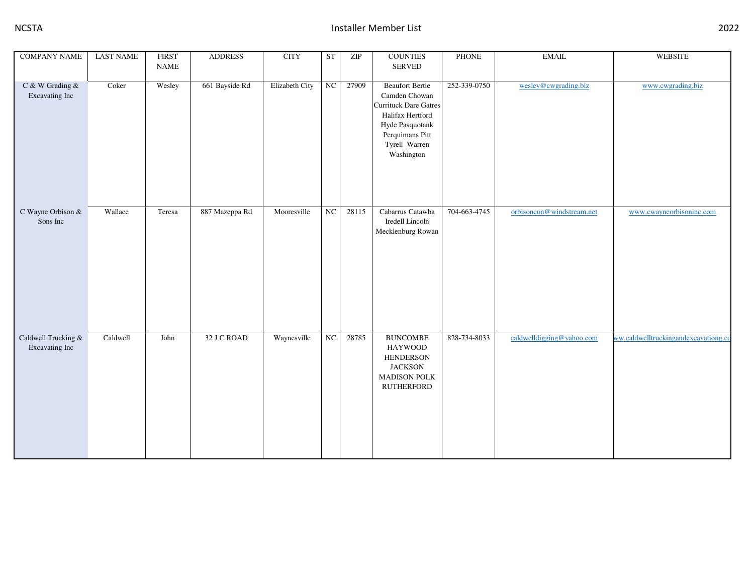| <b>COMPANY NAME</b>                   | <b>LAST NAME</b> | <b>FIRST</b><br><b>NAME</b> | <b>ADDRESS</b> | <b>CITY</b>    | <b>ST</b> | ZIP   | <b>COUNTIES</b><br>SERVED                                                                                                                                        | PHONE        | <b>EMAIL</b>              | <b>WEBSITE</b>                       |
|---------------------------------------|------------------|-----------------------------|----------------|----------------|-----------|-------|------------------------------------------------------------------------------------------------------------------------------------------------------------------|--------------|---------------------------|--------------------------------------|
| C & W Grading &<br>Excavating Inc     | Coker            | Wesley                      | 661 Bayside Rd | Elizabeth City | NC        | 27909 | <b>Beaufort Bertie</b><br>Camden Chowan<br><b>Currituck Dare Gatres</b><br>Halifax Hertford<br>Hyde Pasquotank<br>Perquimans Pitt<br>Tyrell Warren<br>Washington | 252-339-0750 | wesley@cwgrading.biz      | www.cwgrading.biz                    |
| C Wayne Orbison &<br>Sons Inc         | Wallace          | Teresa                      | 887 Mazeppa Rd | Mooresville    | NC        | 28115 | Cabarrus Catawba<br>Iredell Lincoln<br>Mecklenburg Rowan                                                                                                         | 704-663-4745 | orbisoncon@windstream.net | www.cwayneorbisoninc.com             |
| Caldwell Trucking &<br>Excavating Inc | Caldwell         | John                        | 32 J C ROAD    | Waynesville    | NC        | 28785 | <b>BUNCOMBE</b><br><b>HAYWOOD</b><br><b>HENDERSON</b><br><b>JACKSON</b><br><b>MADISON POLK</b><br><b>RUTHERFORD</b>                                              | 828-734-8033 | caldwelldigging@yahoo.com | ww.caldwelltruckingandexcavationg.co |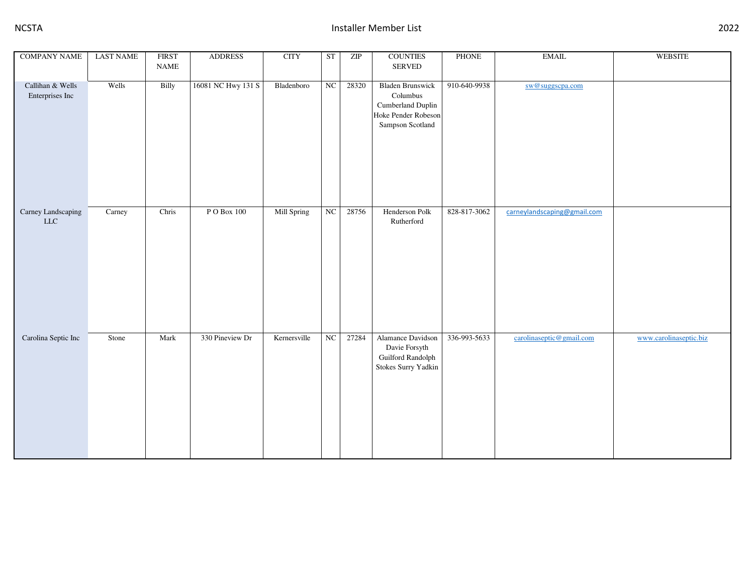| <b>COMPANY NAME</b>                 | <b>LAST NAME</b> | <b>FIRST</b><br>$\ensuremath{\mathsf{NAME}}$ | <b>ADDRESS</b>     | <b>CITY</b>        | <b>ST</b> | ZIP   | <b>COUNTIES</b><br>SERVED                                                                           | PHONE        | $\text{EMAIL}$              | <b>WEBSITE</b>         |
|-------------------------------------|------------------|----------------------------------------------|--------------------|--------------------|-----------|-------|-----------------------------------------------------------------------------------------------------|--------------|-----------------------------|------------------------|
| Callihan & Wells<br>Enterprises Inc | Wells            | Billy                                        | 16081 NC Hwy 131 S | Bladenboro         | NC        | 28320 | <b>Bladen Brunswick</b><br>Columbus<br>Cumberland Duplin<br>Hoke Pender Robeson<br>Sampson Scotland | 910-640-9938 | sw@suggscpa.com             |                        |
| Carney Landscaping<br>${\rm LLC}$   | Carney           | Chris                                        | P O Box 100        | <b>Mill Spring</b> | NC        | 28756 | <b>Henderson Polk</b><br>Rutherford                                                                 | 828-817-3062 | carneylandscaping@gmail.com |                        |
| Carolina Septic Inc                 | Stone            | Mark                                         | 330 Pineview Dr    | Kernersville       | NC        | 27284 | Alamance Davidson<br>Davie Forsyth<br>Guilford Randolph<br>Stokes Surry Yadkin                      | 336-993-5633 | carolinaseptic@gmail.com    | www.carolinaseptic.biz |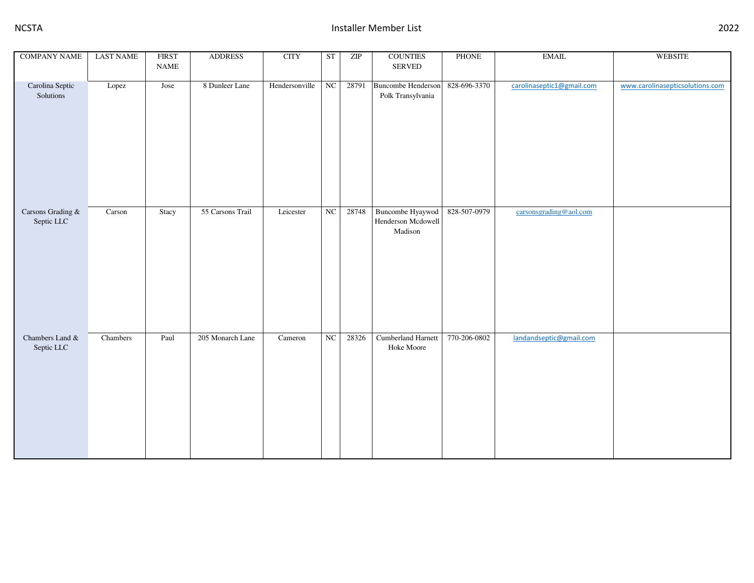| <b>COMPANY NAME</b>             | <b>LAST NAME</b>       | <b>FIRST</b><br>$\ensuremath{\mathsf{NAME}}$ | <b>ADDRESS</b>   | <b>CITY</b>    | <b>ST</b> | $\ensuremath{\mathrm{ZIP}}$ | <b>COUNTIES</b><br>SERVED                         | PHONE        | <b>EMAIL</b>              | WEBSITE                         |
|---------------------------------|------------------------|----------------------------------------------|------------------|----------------|-----------|-----------------------------|---------------------------------------------------|--------------|---------------------------|---------------------------------|
| Carolina Septic<br>Solutions    | $\operatorname{Lopez}$ | Jose                                         | 8 Dunleer Lane   | Hendersonville | NC        | 28791                       | Buncombe Henderson<br>Polk Transylvania           | 828-696-3370 | carolinaseptic1@gmail.com | www.carolinasepticsolutions.com |
| Carsons Grading &<br>Septic LLC | Carson                 | Stacy                                        | 55 Carsons Trail | Leicester      | NC        | 28748                       | Buncombe Hyaywod<br>Henderson Mcdowell<br>Madison | 828-507-0979 | carsonsgrading@aol.com    |                                 |
| Chambers Land &<br>Septic LLC   | Chambers               | Paul                                         | 205 Monarch Lane | Cameron        | NC        | 28326                       | Cumberland Harnett<br>Hoke Moore                  | 770-206-0802 | landandseptic@gmail.com   |                                 |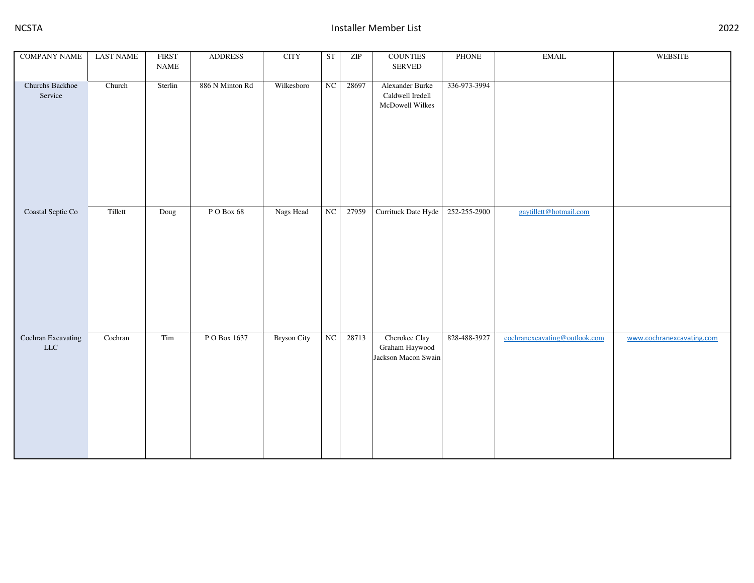| <b>COMPANY NAME</b>               | <b>LAST NAME</b> | <b>FIRST</b><br>$\ensuremath{\mathsf{NAME}}$ | <b>ADDRESS</b>  | <b>CITY</b>        | <b>ST</b> | $\ensuremath{\mathrm{ZIP}}$ | <b>COUNTIES</b><br>SERVED                              | PHONE        | $\operatorname{EMAIL}$        | <b>WEBSITE</b>            |
|-----------------------------------|------------------|----------------------------------------------|-----------------|--------------------|-----------|-----------------------------|--------------------------------------------------------|--------------|-------------------------------|---------------------------|
| Churchs Backhoe<br>Service        | Church           | Sterlin                                      | 886 N Minton Rd | Wilkesboro         | NC        | 28697                       | Alexander Burke<br>Caldwell Iredell<br>McDowell Wilkes | 336-973-3994 |                               |                           |
| Coastal Septic Co                 | Tillett          | Doug                                         | PO Box 68       | Nags Head          | NC        | 27959                       | Currituck Date Hyde                                    | 252-255-2900 | gaytillett@hotmail.com        |                           |
| Cochran Excavating<br>${\rm LLC}$ | Cochran          | Tim                                          | PO Box 1637     | <b>Bryson City</b> | NC        | 28713                       | Cherokee Clay<br>Graham Haywood<br>Jackson Macon Swain | 828-488-3927 | cochranexcavating@outlook.com | www.cochranexcavating.com |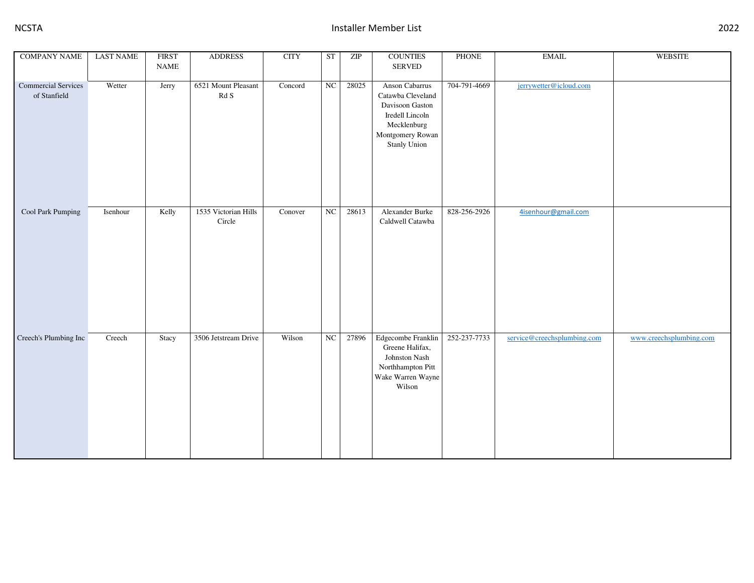| <b>COMPANY NAME</b>                        | <b>LAST NAME</b> | <b>FIRST</b><br>$\operatorname{NAME}$ | <b>ADDRESS</b>                                           | <b>CITY</b> | <b>ST</b> | ZIP   | <b>COUNTIES</b><br>SERVED                                                                                                           | PHONE        | <b>EMAIL</b>                | <b>WEBSITE</b>          |
|--------------------------------------------|------------------|---------------------------------------|----------------------------------------------------------|-------------|-----------|-------|-------------------------------------------------------------------------------------------------------------------------------------|--------------|-----------------------------|-------------------------|
| <b>Commercial Services</b><br>of Stanfield | Wetter           | Jerry                                 | 6521 Mount Pleasant<br>$\mathop{\mathrm{Rd}}\nolimits S$ | Concord     | NC        | 28025 | Anson Cabarrus<br>Catawba Cleveland<br>Davisoon Gaston<br>Iredell Lincoln<br>Mecklenburg<br>Montgomery Rowan<br><b>Stanly Union</b> | 704-791-4669 | jerrywetter@icloud.com      |                         |
| Cool Park Pumping                          | Isenhour         | Kelly                                 | 1535 Victorian Hills<br>$\mbox{Circle}$                  | Conover     | NC        | 28613 | Alexander Burke<br>Caldwell Catawba                                                                                                 | 828-256-2926 | 4isenhour@gmail.com         |                         |
| Creech's Plumbing Inc                      | Creech           | Stacy                                 | 3506 Jetstream Drive                                     | Wilson      | NC        | 27896 | Edgecombe Franklin<br>Greene Halifax,<br>Johnston Nash<br>Northhampton Pitt<br>Wake Warren Wayne<br>Wilson                          | 252-237-7733 | service@creechsplumbing.com | www.creechsplumbing.com |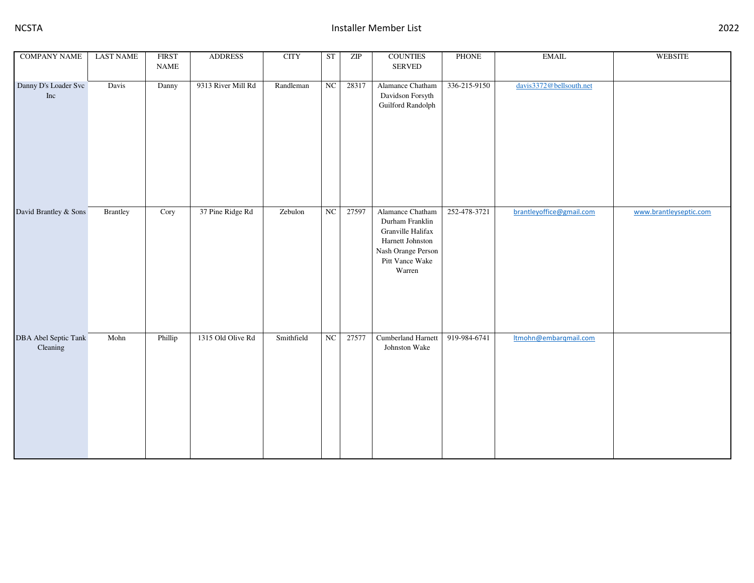| <b>COMPANY NAME</b>              | <b>LAST NAME</b> | <b>FIRST</b><br>$\ensuremath{\mathsf{NAME}}$ | <b>ADDRESS</b>     | <b>CITY</b> | ST | ZIP   | <b>COUNTIES</b><br>SERVED                                                                                                       | PHONE        | $\operatorname{EMAIL}$   | <b>WEBSITE</b>         |
|----------------------------------|------------------|----------------------------------------------|--------------------|-------------|----|-------|---------------------------------------------------------------------------------------------------------------------------------|--------------|--------------------------|------------------------|
| Danny D's Loader Svc<br>Inc      | Davis            | Danny                                        | 9313 River Mill Rd | Randleman   | NC | 28317 | Alamance Chatham<br>Davidson Forsyth<br>Guilford Randolph                                                                       | 336-215-9150 | davis3372@bellsouth.net  |                        |
| David Brantley & Sons            | <b>Brantley</b>  | Cory                                         | 37 Pine Ridge Rd   | Zebulon     | NC | 27597 | Alamance Chatham<br>Durham Franklin<br>Granville Halifax<br>Harnett Johnston<br>Nash Orange Person<br>Pitt Vance Wake<br>Warren | 252-478-3721 | brantleyoffice@gmail.com | www.brantleyseptic.com |
| DBA Abel Septic Tank<br>Cleaning | Mohn             | Phillip                                      | 1315 Old Olive Rd  | Smithfield  | NC | 27577 | Cumberland Harnett<br>Johnston Wake                                                                                             | 919-984-6741 | Itmohn@embarqmail.com    |                        |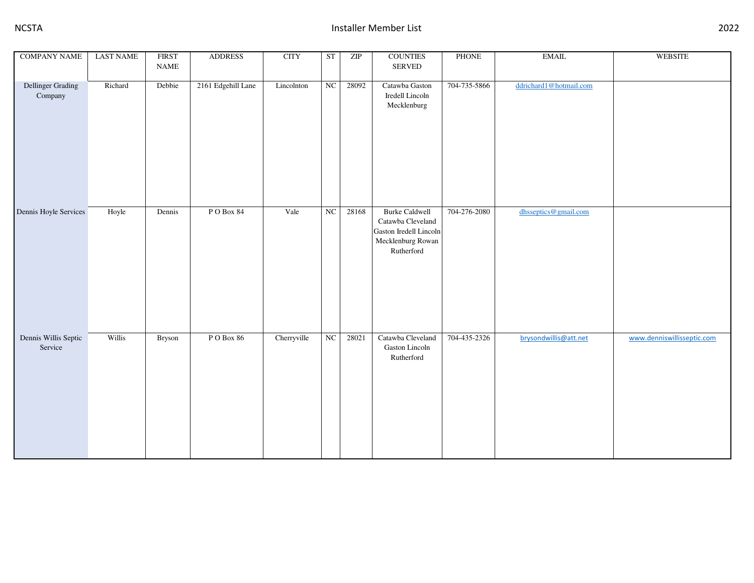| <b>COMPANY NAME</b>             | <b>LAST NAME</b> | <b>FIRST</b><br>$\ensuremath{\mathsf{NAME}}$ | <b>ADDRESS</b>     | <b>CITY</b> | ST | ZIP   | <b>COUNTIES</b><br>SERVED                                                                               | PHONE        | $\operatorname{EMAIL}$ | WEBSITE                    |
|---------------------------------|------------------|----------------------------------------------|--------------------|-------------|----|-------|---------------------------------------------------------------------------------------------------------|--------------|------------------------|----------------------------|
| Dellinger Grading<br>Company    | Richard          | Debbie                                       | 2161 Edgehill Lane | Lincolnton  | NC | 28092 | Catawba Gaston<br>Iredell Lincoln<br>Mecklenburg                                                        | 704-735-5866 | ddrichard1@hotmail.com |                            |
| Dennis Hoyle Services           | Hoyle            | Dennis                                       | PO Box 84          | Vale        | NC | 28168 | <b>Burke Caldwell</b><br>Catawba Cleveland<br>Gaston Iredell Lincoln<br>Mecklenburg Rowan<br>Rutherford | 704-276-2080 | dhsseptics@gmail.com   |                            |
| Dennis Willis Septic<br>Service | Willis           | Bryson                                       | PO Box 86          | Cherryville | NC | 28021 | Catawba Cleveland<br>Gaston Lincoln<br>Rutherford                                                       | 704-435-2326 | brysondwillis@att.net  | www.denniswillisseptic.com |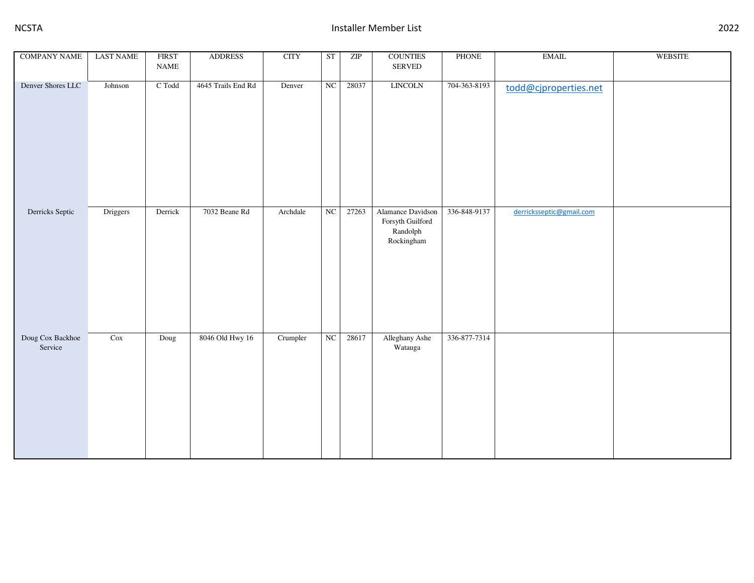| <b>COMPANY NAME</b>         | <b>LAST NAME</b> | <b>FIRST</b><br>$\ensuremath{\mathsf{NAME}}$ | <b>ADDRESS</b>     | <b>CITY</b> | ST | ZIP   | <b>COUNTIES</b><br>SERVED                                       | PHONE        | $\operatorname{EMAIL}$   | WEBSITE |
|-----------------------------|------------------|----------------------------------------------|--------------------|-------------|----|-------|-----------------------------------------------------------------|--------------|--------------------------|---------|
| Denver Shores LLC           | Johnson          | C Todd                                       | 4645 Trails End Rd | Denver      | NC | 28037 | <b>LINCOLN</b>                                                  | 704-363-8193 | todd@cjproperties.net    |         |
| Derricks Septic             | Driggers         | Derrick                                      | 7032 Beane Rd      | Archdale    | NC | 27263 | Alamance Davidson<br>Forsyth Guilford<br>Randolph<br>Rockingham | 336-848-9137 | derricksseptic@gmail.com |         |
| Doug Cox Backhoe<br>Service | Cox              | Doug                                         | 8046 Old Hwy 16    | Crumpler    | NC | 28617 | Alleghany Ashe<br>Watauga                                       | 336-877-7314 |                          |         |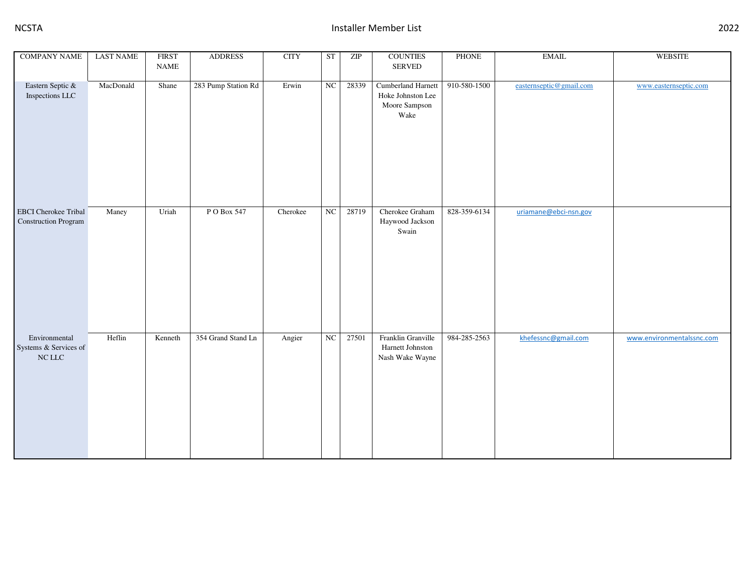| <b>COMPANY NAME</b>                                        | <b>LAST NAME</b> | <b>FIRST</b><br>NAME | <b>ADDRESS</b>      | <b>CITY</b> | ST          | ZIP   | <b>COUNTIES</b><br>SERVED                                               | PHONE        | $\operatorname{EMAIL}$  | <b>WEBSITE</b>            |
|------------------------------------------------------------|------------------|----------------------|---------------------|-------------|-------------|-------|-------------------------------------------------------------------------|--------------|-------------------------|---------------------------|
| Eastern Septic &<br>Inspections LLC                        | MacDonald        | Shane                | 283 Pump Station Rd | Erwin       | $_{\rm NC}$ | 28339 | <b>Cumberland Harnett</b><br>Hoke Johnston Lee<br>Moore Sampson<br>Wake | 910-580-1500 | easternseptic@gmail.com | www.easternseptic.com     |
| <b>EBCI</b> Cherokee Tribal<br><b>Construction Program</b> | Maney            | Uriah                | P O Box 547         | Cherokee    | NC          | 28719 | Cherokee Graham<br>Haywood Jackson<br>Swain                             | 828-359-6134 | uriamane@ebci-nsn.gov   |                           |
| Environmental<br>Systems & Services of<br>$\rm NC$ LLC     | Heflin           | Kenneth              | 354 Grand Stand Ln  | Angier      | NC          | 27501 | Franklin Granville<br>Harnett Johnston<br>Nash Wake Wayne               | 984-285-2563 | khefessnc@gmail.com     | www.environmentalssnc.com |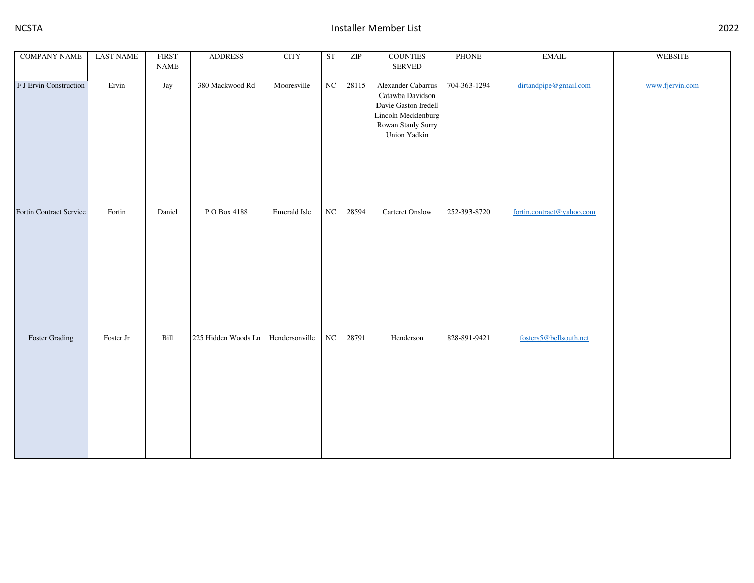| <b>COMPANY NAME</b>     | <b>LAST NAME</b> | <b>FIRST</b><br>$\ensuremath{\mathsf{NAME}}$ | <b>ADDRESS</b>      | <b>CITY</b>    | <b>ST</b> | $\ensuremath{\mathrm{ZIP}}$ | <b>COUNTIES</b><br>SERVED                                                                                                   | PHONE        | $\operatorname{EMAIL}$    | WEBSITE         |
|-------------------------|------------------|----------------------------------------------|---------------------|----------------|-----------|-----------------------------|-----------------------------------------------------------------------------------------------------------------------------|--------------|---------------------------|-----------------|
| F J Ervin Construction  | Ervin            | Jay                                          | 380 Mackwood Rd     | Mooresville    | NC        | 28115                       | Alexander Cabarrus<br>Catawba Davidson<br>Davie Gaston Iredell<br>Lincoln Mecklenburg<br>Rowan Stanly Surry<br>Union Yadkin | 704-363-1294 | dirtandpipe@gmail.com     | www.fjervin.com |
| Fortin Contract Service | Fortin           | Daniel                                       | PO Box 4188         | Emerald Isle   | NC        | 28594                       | <b>Carteret Onslow</b>                                                                                                      | 252-393-8720 | fortin.contract@yahoo.com |                 |
| Foster Grading          | Foster Jr        | Bill                                         | 225 Hidden Woods Ln | Hendersonville | NC        | 28791                       | Henderson                                                                                                                   | 828-891-9421 | fosters5@bellsouth.net    |                 |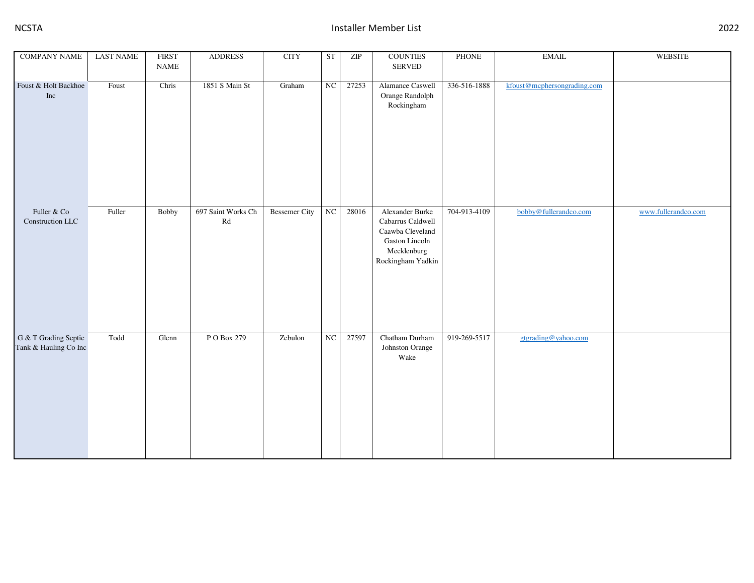| <b>COMPANY NAME</b>                           | <b>LAST NAME</b> | <b>FIRST</b><br>$\ensuremath{\mathsf{NAME}}$ | <b>ADDRESS</b>                                | <b>CITY</b>          | ST | ZIP   | <b>COUNTIES</b><br>SERVED                                                                                      | PHONE        | <b>EMAIL</b>                | <b>WEBSITE</b>      |
|-----------------------------------------------|------------------|----------------------------------------------|-----------------------------------------------|----------------------|----|-------|----------------------------------------------------------------------------------------------------------------|--------------|-----------------------------|---------------------|
| Foust & Holt Backhoe<br>Inc                   | Foust            | Chris                                        | 1851 S Main St                                | Graham               | NC | 27253 | Alamance Caswell<br>Orange Randolph<br>Rockingham                                                              | 336-516-1888 | kfoust@mcphersongrading.com |                     |
| Fuller & Co<br>Construction LLC               | Fuller           | <b>Bobby</b>                                 | 697 Saint Works Ch<br>$\mathbf{R} \mathbf{d}$ | <b>Bessemer City</b> | NC | 28016 | Alexander Burke<br>Cabarrus Caldwell<br>Caawba Cleveland<br>Gaston Lincoln<br>Mecklenburg<br>Rockingham Yadkin | 704-913-4109 | bobby@fullerandco.com       | www.fullerandco.com |
| G & T Grading Septic<br>Tank & Hauling Co Inc | Todd             | Glenn                                        | P O Box 279                                   | Zebulon              | NC | 27597 | Chatham Durham<br>Johnston Orange<br>Wake                                                                      | 919-269-5517 | gtgrading@yahoo.com         |                     |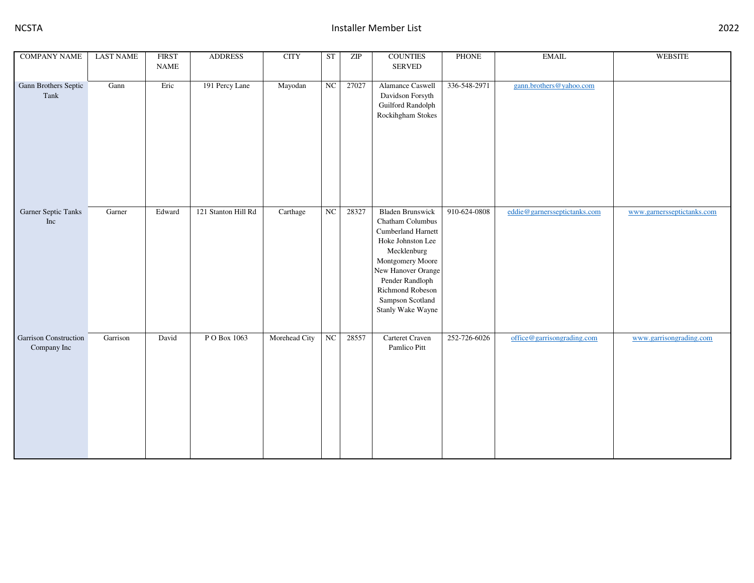| <b>COMPANY NAME</b>                         | <b>LAST NAME</b> | <b>FIRST</b><br><b>NAME</b> | <b>ADDRESS</b>      | <b>CITY</b>   | <b>ST</b> | ZIP   | <b>COUNTIES</b><br>SERVED                                                                                                                                                                                                       | PHONE        | <b>EMAIL</b>                 | <b>WEBSITE</b>             |
|---------------------------------------------|------------------|-----------------------------|---------------------|---------------|-----------|-------|---------------------------------------------------------------------------------------------------------------------------------------------------------------------------------------------------------------------------------|--------------|------------------------------|----------------------------|
| Gann Brothers Septic<br>Tank                | Gann             | Eric                        | 191 Percy Lane      | Mayodan       | NC        | 27027 | <b>Alamance Caswell</b><br>Davidson Forsyth<br>Guilford Randolph<br>Rockihgham Stokes                                                                                                                                           | 336-548-2971 | gann.brothers@yahoo.com      |                            |
| Garner Septic Tanks<br>Inc                  | Garner           | Edward                      | 121 Stanton Hill Rd | Carthage      | NC        | 28327 | <b>Bladen Brunswick</b><br>Chatham Columbus<br>Cumberland Harnett<br>Hoke Johnston Lee<br>Mecklenburg<br>Montgomery Moore<br>New Hanover Orange<br>Pender Randloph<br>Richmond Robeson<br>Sampson Scotland<br>Stanly Wake Wayne | 910-624-0808 | eddie@garnersseptictanks.com | www.garnersseptictanks.com |
| <b>Garrison Construction</b><br>Company Inc | Garrison         | David                       | P O Box 1063        | Morehead City | NC        | 28557 | Carteret Craven<br>Pamlico Pitt                                                                                                                                                                                                 | 252-726-6026 | office@garrisongrading.com   | www.garrisongrading.com    |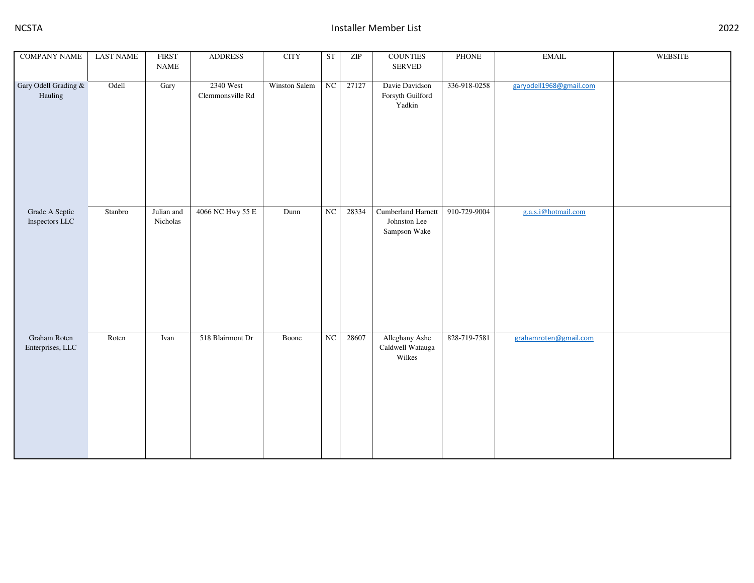| <b>COMPANY NAME</b>              | <b>LAST NAME</b> | <b>FIRST</b><br>$\ensuremath{\mathsf{NAME}}$ | <b>ADDRESS</b>                | <b>CITY</b>   | ST | $\ensuremath{\mathrm{ZIP}}$ | <b>COUNTIES</b><br>SERVED                                 | PHONE        | $\operatorname{EMAIL}$  | <b>WEBSITE</b> |
|----------------------------------|------------------|----------------------------------------------|-------------------------------|---------------|----|-----------------------------|-----------------------------------------------------------|--------------|-------------------------|----------------|
| Gary Odell Grading &<br>Hauling  | Odell            | Gary                                         | 2340 West<br>Clemmonsville Rd | Winston Salem | NC | 27127                       | Davie Davidson<br>Forsyth Guilford<br>Yadkin              | 336-918-0258 | garyodell1968@gmail.com |                |
| Grade A Septic<br>Inspectors LLC | Stanbro          | Julian and<br>Nicholas                       | 4066 NC Hwy 55 E              | Dunn          | NC | 28334                       | <b>Cumberland Harnett</b><br>Johnston Lee<br>Sampson Wake | 910-729-9004 | g.a.s.i@hotmail.com     |                |
| Graham Roten<br>Enterprises, LLC | Roten            | Ivan                                         | 518 Blairmont Dr              | Boone         | NC | 28607                       | Alleghany Ashe<br>Caldwell Watauga<br>Wilkes              | 828-719-7581 | grahamroten@gmail.com   |                |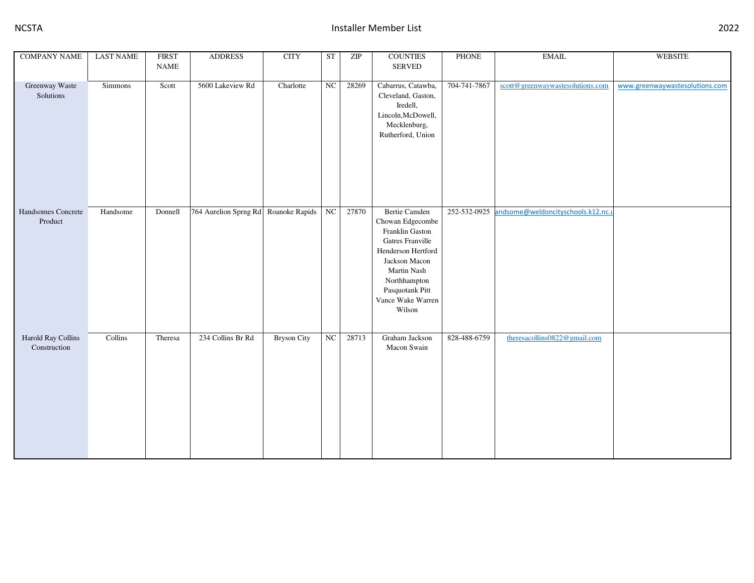| <b>COMPANY NAME</b>                | <b>LAST NAME</b> | <b>FIRST</b><br>$\operatorname{NAME}$ | <b>ADDRESS</b>                       | <b>CITY</b>        | ST | ZIP   | <b>COUNTIES</b><br>SERVED                                                                                                                                                                               | PHONE        | <b>EMAIL</b>                                    | WEBSITE                        |
|------------------------------------|------------------|---------------------------------------|--------------------------------------|--------------------|----|-------|---------------------------------------------------------------------------------------------------------------------------------------------------------------------------------------------------------|--------------|-------------------------------------------------|--------------------------------|
|                                    |                  |                                       |                                      |                    |    |       |                                                                                                                                                                                                         |              |                                                 |                                |
| Greenway Waste<br>Solutions        | <b>Simmons</b>   | Scott                                 | 5600 Lakeview Rd                     | Charlotte          | NC | 28269 | Cabarrus, Catawba,<br>Cleveland, Gaston,<br>Iredell,<br>Lincoln, McDowell,<br>Mecklenburg,<br>Rutherford, Union                                                                                         | 704-741-7867 | scott@greenwaywastesolutions.com                | www.greenwaywastesolutions.com |
| Handsomes Concrete<br>Product      | Handsome         | Donnell                               | 764 Aurelion Sprng Rd Roanoke Rapids |                    | NC | 27870 | <b>Bertie Camden</b><br>Chowan Edgecombe<br>Franklin Gaston<br>Gatres Franville<br>Henderson Hertford<br>Jackson Macon<br>Martin Nash<br>Northhampton<br>Pasquotank Pitt<br>Vance Wake Warren<br>Wilson |              | 252-532-0925 andsome@weldoncityschools.k12.nc.u |                                |
| Harold Ray Collins<br>Construction | Collins          | Theresa                               | 234 Collins Br Rd                    | <b>Bryson City</b> | NC | 28713 | Graham Jackson<br>Macon Swain                                                                                                                                                                           | 828-488-6759 | theresacollins0822@gmail.com                    |                                |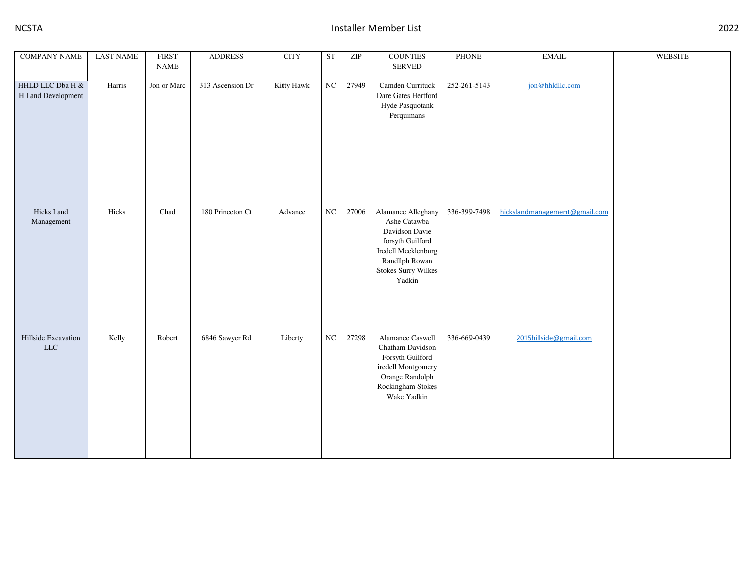| <b>COMPANY NAME</b>                    | <b>LAST NAME</b> | <b>FIRST</b><br><b>NAME</b> | <b>ADDRESS</b>   | <b>CITY</b>       | <b>ST</b>   | ZIP   | <b>COUNTIES</b><br>SERVED                                                                                                                                 | <b>PHONE</b>   | $\text{EMAIL}$                | <b>WEBSITE</b> |
|----------------------------------------|------------------|-----------------------------|------------------|-------------------|-------------|-------|-----------------------------------------------------------------------------------------------------------------------------------------------------------|----------------|-------------------------------|----------------|
| HHLD LLC Dba H &<br>H Land Development | Harris           | Jon or Marc                 | 313 Ascension Dr | <b>Kitty Hawk</b> | NC          | 27949 | Camden Currituck<br>Dare Gates Hertford<br>Hyde Pasquotank<br>Perquimans                                                                                  | 252-261-5143   | jon@hhldllc.com               |                |
| Hicks Land<br>Management               | Hicks            | Chad                        | 180 Princeton Ct | Advance           | $_{\rm NC}$ | 27006 | Alamance Alleghany<br>Ashe Catawba<br>Davidson Davie<br>forsyth Guilford<br>Iredell Mecklenburg<br>Randllph Rowan<br><b>Stokes Surry Wilkes</b><br>Yadkin | 336-399-7498   | hickslandmanagement@gmail.com |                |
| Hillside Excavation<br>${\rm LLC}$     | Kelly            | Robert                      | 6846 Sawyer Rd   | Liberty           | NC          | 27298 | Alamance Caswell<br>Chatham Davidson<br>Forsyth Guilford<br>iredell Montgomery<br>Orange Randolph<br>Rockingham Stokes<br>Wake Yadkin                     | $336-669-0439$ | 2015hillside@gmail.com        |                |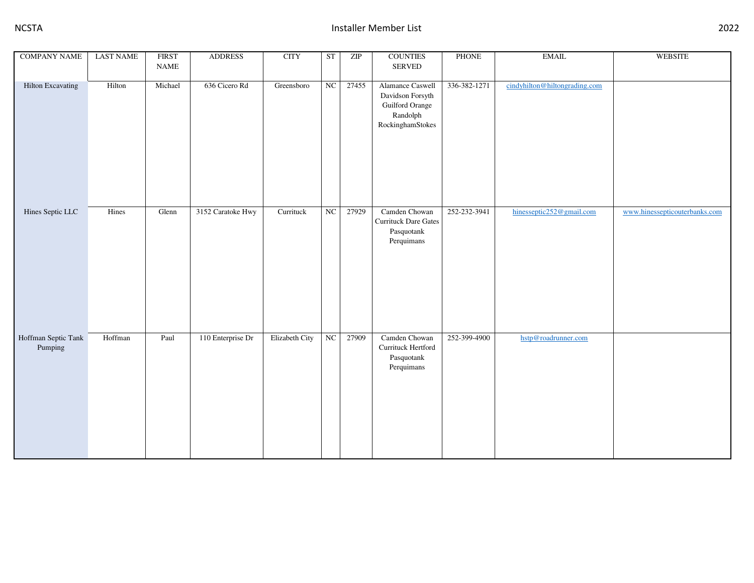| <b>COMPANY NAME</b>            | <b>LAST NAME</b> | <b>FIRST</b><br><b>NAME</b> | <b>ADDRESS</b>    | <b>CITY</b>    | ST | $\ensuremath{\mathrm{ZIP}}$ | <b>COUNTIES</b><br>SERVED                                                               | PHONE        | $\operatorname{EMAIL}$        | <b>WEBSITE</b>                |
|--------------------------------|------------------|-----------------------------|-------------------|----------------|----|-----------------------------|-----------------------------------------------------------------------------------------|--------------|-------------------------------|-------------------------------|
| Hilton Excavating              | Hilton           | Michael                     | 636 Cicero Rd     | Greensboro     | NC | 27455                       | Alamance Caswell<br>Davidson Forsyth<br>Guilford Orange<br>Randolph<br>RockinghamStokes | 336-382-1271 | cindyhilton@hiltongrading.com |                               |
| Hines Septic LLC               | Hines            | Glenn                       | 3152 Caratoke Hwy | Currituck      | NC | 27929                       | Camden Chowan<br><b>Currituck Dare Gates</b><br>Pasquotank<br>Perquimans                | 252-232-3941 | hinesseptic252@gmail.com      | www.hinessepticouterbanks.com |
| Hoffman Septic Tank<br>Pumping | Hoffman          | Paul                        | 110 Enterprise Dr | Elizabeth City | NC | 27909                       | Camden Chowan<br>Currituck Hertford<br>Pasquotank<br>Perquimans                         | 252-399-4900 | hstp@roadrunner.com           |                               |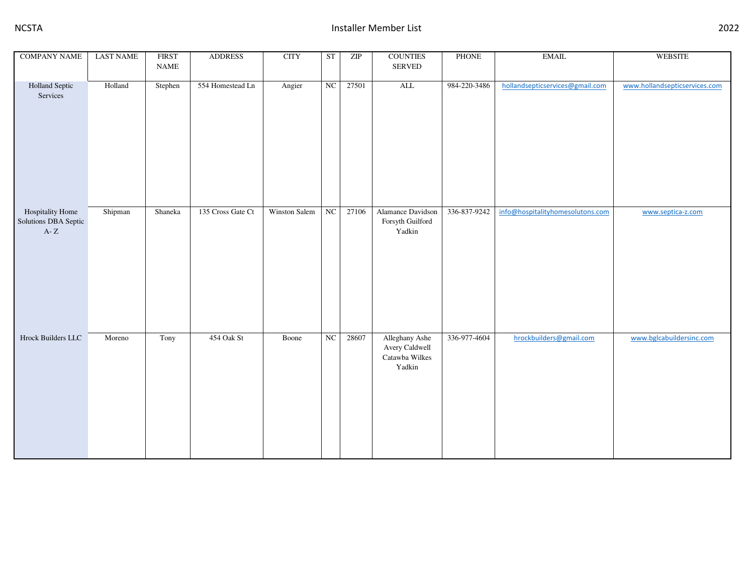| <b>COMPANY NAME</b>                                | <b>LAST NAME</b> | <b>FIRST</b><br>$\ensuremath{\mathsf{NAME}}$ | <b>ADDRESS</b>    | <b>CITY</b>   | <b>ST</b> | ZIP   | <b>COUNTIES</b><br>SERVED                                    | PHONE        | <b>EMAIL</b>                     | WEBSITE                       |
|----------------------------------------------------|------------------|----------------------------------------------|-------------------|---------------|-----------|-------|--------------------------------------------------------------|--------------|----------------------------------|-------------------------------|
|                                                    |                  |                                              |                   |               |           |       |                                                              |              |                                  |                               |
| Holland Septic<br>Services                         | Holland          | Stephen                                      | 554 Homestead Ln  | Angier        | NC        | 27501 | $\mbox{ALL}$                                                 | 984-220-3486 | hollandsepticservices@gmail.com  | www.hollandsepticservices.com |
| Hospitality Home<br>Solutions DBA Septic<br>A- $Z$ | Shipman          | Shaneka                                      | 135 Cross Gate Ct | Winston Salem | NC        | 27106 | Alamance Davidson<br>Forsyth Guilford<br>Yadkin              | 336-837-9242 | info@hospitalityhomesolutons.com | www.septica-z.com             |
| Hrock Builders LLC                                 | Moreno           | Tony                                         | 454 Oak St        | Boone         | NC        | 28607 | Alleghany Ashe<br>Avery Caldwell<br>Catawba Wilkes<br>Yadkin | 336-977-4604 | hrockbuilders@gmail.com          | www.bglcabuildersinc.com      |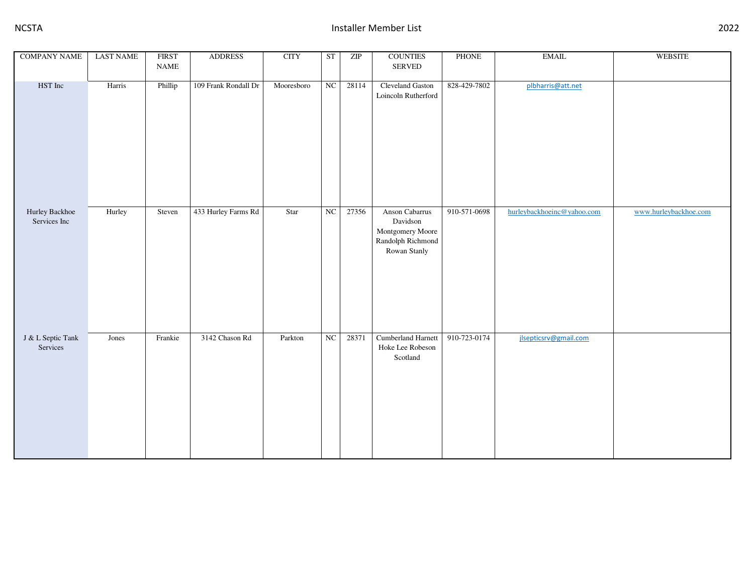| <b>COMPANY NAME</b>            | <b>LAST NAME</b> | <b>FIRST</b><br>$\ensuremath{\mathsf{NAME}}$ | <b>ADDRESS</b>       | <b>CITY</b> | <b>ST</b> | $\ensuremath{\mathrm{ZIP}}$ | <b>COUNTIES</b><br>SERVED                                                           | PHONE        | $\operatorname{EMAIL}$     | <b>WEBSITE</b>        |
|--------------------------------|------------------|----------------------------------------------|----------------------|-------------|-----------|-----------------------------|-------------------------------------------------------------------------------------|--------------|----------------------------|-----------------------|
| HST Inc                        | Harris           | Phillip                                      | 109 Frank Rondall Dr | Mooresboro  | NC        | 28114                       | Cleveland Gaston<br>Loincoln Rutherford                                             | 828-429-7802 | plbharris@att.net          |                       |
| Hurley Backhoe<br>Services Inc | Hurley           | Steven                                       | 433 Hurley Farms Rd  | Star        | NC        | 27356                       | Anson Cabarrus<br>Davidson<br>Montgomery Moore<br>Randolph Richmond<br>Rowan Stanly | 910-571-0698 | hurleybackhoeinc@yahoo.com | www.hurleybackhoe.com |
| J & L Septic Tank<br>Services  | Jones            | Frankie                                      | 3142 Chason Rd       | Parkton     | NC        | 28371                       | <b>Cumberland Harnett</b><br>Hoke Lee Robeson<br>Scotland                           | 910-723-0174 | jlsepticsrv@gmail.com      |                       |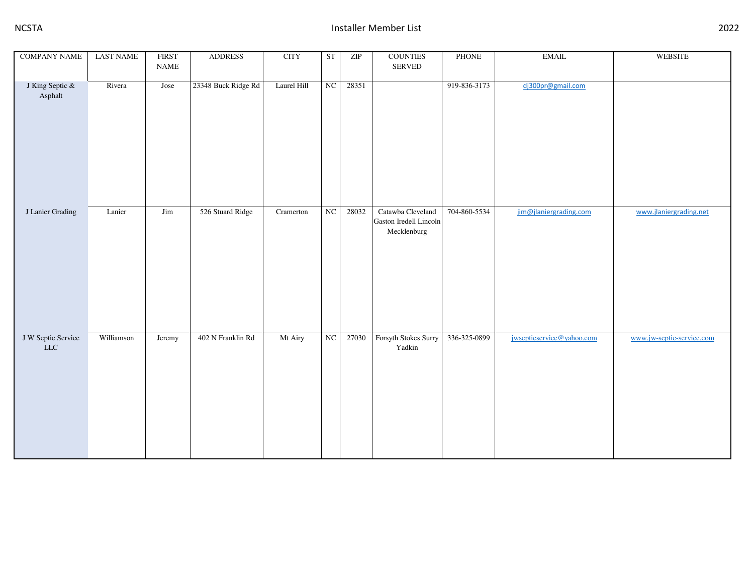| <b>COMPANY NAME</b>         | <b>LAST NAME</b> | <b>FIRST</b>                 | <b>ADDRESS</b>      | <b>CITY</b> | ${\cal S}{\cal T}$ | $\ensuremath{\mathrm{ZIP}}$ | <b>COUNTIES</b>                                            | PHONE        | $\operatorname{EMAIL}$    | <b>WEBSITE</b>            |
|-----------------------------|------------------|------------------------------|---------------------|-------------|--------------------|-----------------------------|------------------------------------------------------------|--------------|---------------------------|---------------------------|
|                             |                  | $\ensuremath{\mathsf{NAME}}$ |                     |             |                    |                             | SERVED                                                     |              |                           |                           |
| J King Septic &<br>Asphalt  | Rivera           | Jose                         | 23348 Buck Ridge Rd | Laurel Hill | NC                 | 28351                       |                                                            | 919-836-3173 | dj300pr@gmail.com         |                           |
| J Lanier Grading            | Lanier           | Jim                          | 526 Stuard Ridge    | Cramerton   | NC                 | 28032                       | Catawba Cleveland<br>Gaston Iredell Lincoln<br>Mecklenburg | 704-860-5534 | jim@jlaniergrading.com    | www.jlaniergrading.net    |
| J W Septic Service<br>$LLC$ | Williamson       | Jeremy                       | 402 N Franklin Rd   | Mt Airy     | NC                 | 27030                       | Forsyth Stokes Surry<br>Yadkin                             | 336-325-0899 | jwsepticservice@yahoo.com | www.jw-septic-service.com |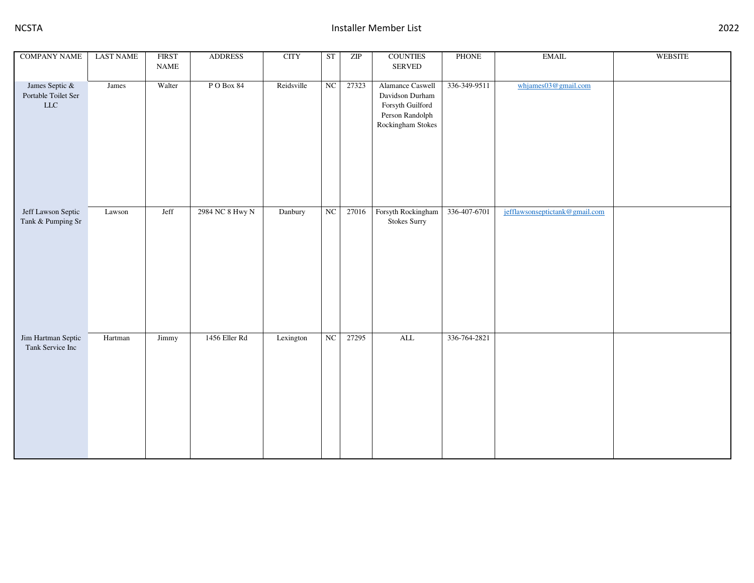| <b>COMPANY NAME</b>                                  | <b>LAST NAME</b>    | <b>FIRST</b><br>$\ensuremath{\mathsf{NAME}}$ | <b>ADDRESS</b>  | $\rm CITY$ | ST | $\ensuremath{\mathrm{ZIP}}$ | <b>COUNTIES</b><br>SERVED                                                                       | PHONE        | $\operatorname{EMAIL}$         | <b>WEBSITE</b> |
|------------------------------------------------------|---------------------|----------------------------------------------|-----------------|------------|----|-----------------------------|-------------------------------------------------------------------------------------------------|--------------|--------------------------------|----------------|
| James Septic &<br>Portable Toilet Ser<br>${\rm LLC}$ | $\overline{J}$ ames | Walter                                       | PO Box 84       | Reidsville | NC | 27323                       | Alamance Caswell<br>Davidson Durham<br>Forsyth Guilford<br>Person Randolph<br>Rockingham Stokes | 336-349-9511 | whjames03@gmail.com            |                |
| Jeff Lawson Septic<br>Tank & Pumping Sr              | Lawson              | Jeff                                         | 2984 NC 8 Hwy N | Danbury    | NC | 27016                       | Forsyth Rockingham<br><b>Stokes Surry</b>                                                       | 336-407-6701 | jefflawsonseptictank@gmail.com |                |
| Jim Hartman Septic<br>Tank Service Inc               | Hartman             | <b>Jimmy</b>                                 | 1456 Eller Rd   | Lexington  | NC | 27295                       | $\mbox{ALL}$                                                                                    | 336-764-2821 |                                |                |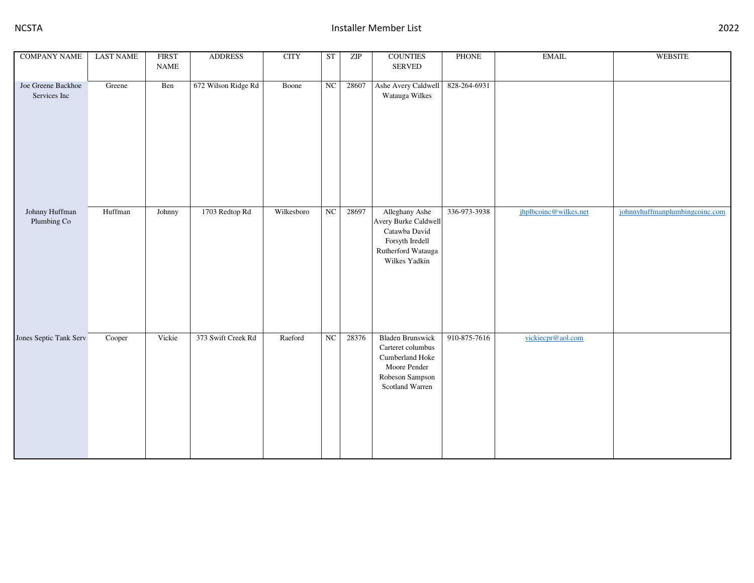| <b>COMPANY NAME</b>                | <b>LAST NAME</b> | <b>FIRST</b><br><b>NAME</b> | <b>ADDRESS</b>      | <b>CITY</b> | ST          | ZIP   | <b>COUNTIES</b><br>SERVED                                                                                             | PHONE        | <b>EMAIL</b>          | <b>WEBSITE</b>                 |
|------------------------------------|------------------|-----------------------------|---------------------|-------------|-------------|-------|-----------------------------------------------------------------------------------------------------------------------|--------------|-----------------------|--------------------------------|
| Joe Greene Backhoe<br>Services Inc | Greene           | Ben                         | 672 Wilson Ridge Rd | Boone       | $_{\rm NC}$ | 28607 | Ashe Avery Caldwell<br>Watauga Wilkes                                                                                 | 828-264-6931 |                       |                                |
| Johnny Huffman<br>Plumbing Co      | Huffman          | Johnny                      | 1703 Redtop Rd      | Wilkesboro  | NC          | 28697 | Alleghany Ashe<br>Avery Burke Caldwell<br>Catawba David<br>Forsyth Iredell<br>Rutherford Watauga<br>Wilkes Yadkin     | 336-973-3938 | jhplbcoinc@wilkes.net | johnnyhuffmanplumbingcoinc.com |
| Jones Septic Tank Serv             | Cooper           | Vickie                      | 373 Swift Creek Rd  | Raeford     | NC          | 28376 | <b>Bladen Brunswick</b><br>Carteret columbus<br>Cumberland Hoke<br>Moore Pender<br>Robeson Sampson<br>Scotland Warren | 910-875-7616 | vickiecpr@aol.com     |                                |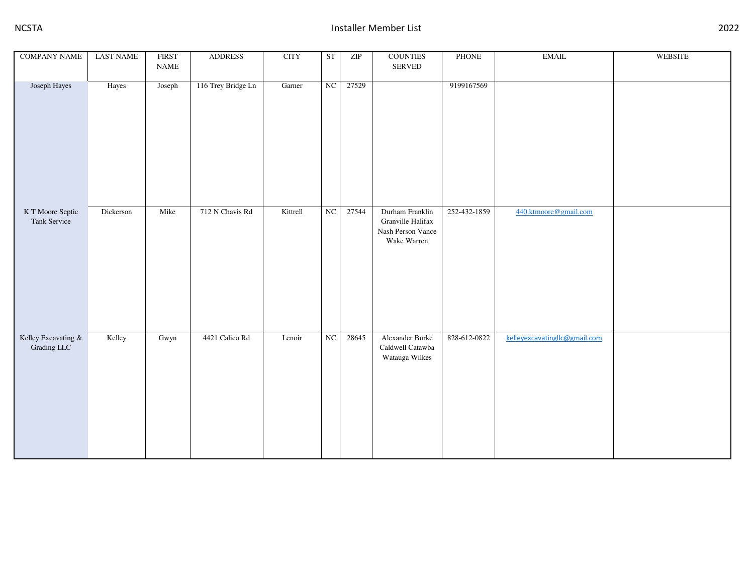| <b>COMPANY NAME</b>                | <b>LAST NAME</b> | <b>FIRST</b><br>$\ensuremath{\mathsf{NAME}}$ | <b>ADDRESS</b>     | <b>CITY</b> | ST | ZIP   | <b>COUNTIES</b><br><b>SERVED</b>                                         | <b>PHONE</b> | <b>EMAIL</b>                  | <b>WEBSITE</b> |
|------------------------------------|------------------|----------------------------------------------|--------------------|-------------|----|-------|--------------------------------------------------------------------------|--------------|-------------------------------|----------------|
| Joseph Hayes                       | Hayes            | Joseph                                       | 116 Trey Bridge Ln | Garner      | NC | 27529 |                                                                          | 9199167569   |                               |                |
| K T Moore Septic<br>Tank Service   | Dickerson        | Mike                                         | 712 N Chavis Rd    | Kittrell    | NC | 27544 | Durham Franklin<br>Granville Halifax<br>Nash Person Vance<br>Wake Warren | 252-432-1859 | 440.ktmoore@gmail.com         |                |
| Kelley Excavating &<br>Grading LLC | Kelley           | Gwyn                                         | 4421 Calico Rd     | Lenoir      | NC | 28645 | Alexander Burke<br>Caldwell Catawba<br>Watauga Wilkes                    | 828-612-0822 | kelleyexcavatingllc@gmail.com |                |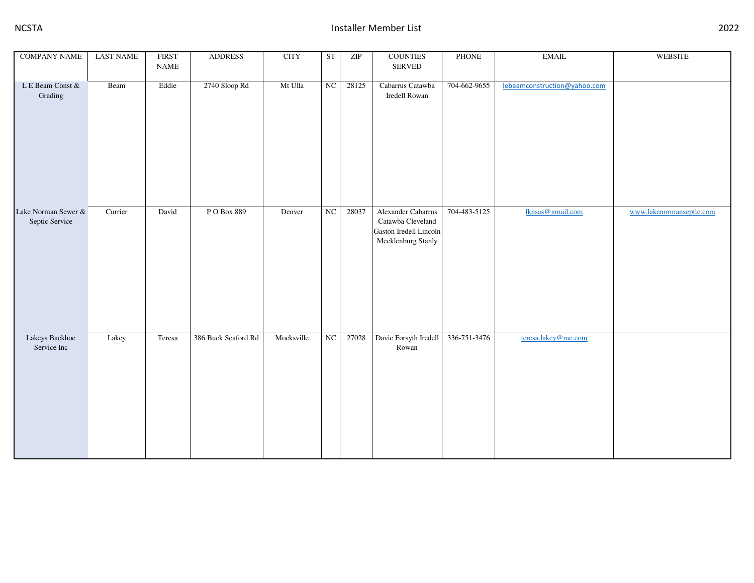| <b>COMPANY NAME</b>                   | <b>LAST NAME</b> | <b>FIRST</b><br>$\ensuremath{\mathsf{NAME}}$ | <b>ADDRESS</b>      | <b>CITY</b> | ST | ZIP   | <b>COUNTIES</b><br>SERVED                                                               | PHONE        | $\operatorname{EMAIL}$       | WEBSITE                  |
|---------------------------------------|------------------|----------------------------------------------|---------------------|-------------|----|-------|-----------------------------------------------------------------------------------------|--------------|------------------------------|--------------------------|
| L E Beam Const $\&$<br>Grading        | Beam             | Eddie                                        | 2740 Sloop Rd       | Mt Ulla     | NC | 28125 | Cabarrus Catawba<br>Iredell Rowan                                                       | 704-662-9655 | lebeamconstruction@yahoo.com |                          |
| Lake Norman Sewer &<br>Septic Service | Currier          | David                                        | PO Box 889          | Denver      | NC | 28037 | Alexander Cabarrus<br>Catawba Cleveland<br>Gaston Iredell Lincoln<br>Mecklenburg Stanly | 704-483-5125 | lknsas@gmail.com             | www.lakenormanseptic.com |
| Lakeys Backhoe<br>Service Inc         | Lakey            | Teresa                                       | 386 Buck Seaford Rd | Mocksville  | NC | 27028 | Davie Forsyth Iredell 336-751-3476<br>Rowan                                             |              | teresa.lakey@me.com          |                          |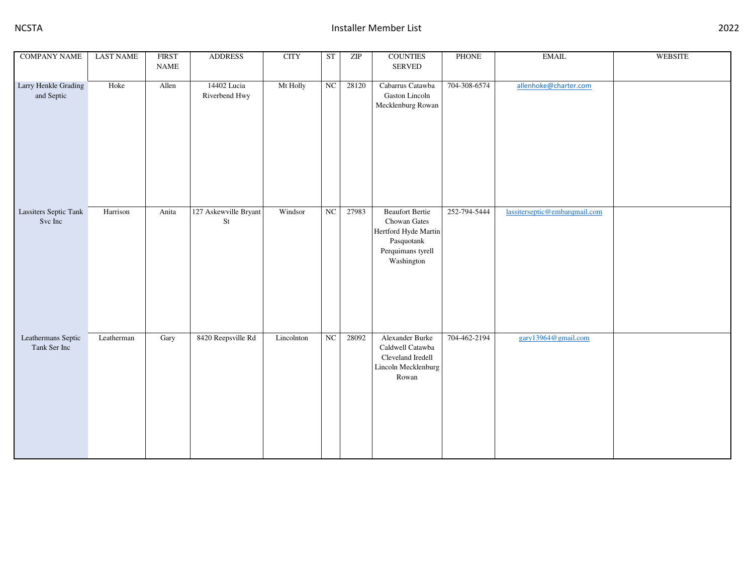| <b>COMPANY NAME</b>                | <b>LAST NAME</b> | <b>FIRST</b><br>$\ensuremath{\mathsf{NAME}}$ | <b>ADDRESS</b>                     | <b>CITY</b> | <b>ST</b> | ZIP   | <b>COUNTIES</b><br>SERVED                                                                                       | PHONE        | $\operatorname{EMAIL}$        | <b>WEBSITE</b> |
|------------------------------------|------------------|----------------------------------------------|------------------------------------|-------------|-----------|-------|-----------------------------------------------------------------------------------------------------------------|--------------|-------------------------------|----------------|
| Larry Henkle Grading<br>and Septic | Hoke             | Allen                                        | 14402 Lucia<br>Riverbend Hwy       | Mt Holly    | NC        | 28120 | Cabarrus Catawba<br>Gaston Lincoln<br>Mecklenburg Rowan                                                         | 704-308-6574 | allenhoke@charter.com         |                |
| Lassiters Septic Tank<br>Svc Inc   | Harrison         | Anita                                        | 127 Askewville Bryant<br>$\rm{St}$ | Windsor     | NC        | 27983 | <b>Beaufort Bertie</b><br>Chowan Gates<br>Hertford Hyde Martin<br>Pasquotank<br>Perquimans tyrell<br>Washington | 252-794-5444 | lassiterseptic@embarqmail.com |                |
| Leathermans Septic<br>Tank Ser Inc | Leatherman       | Gary                                         | 8420 Reepsville Rd                 | Lincolnton  | NC        | 28092 | Alexander Burke<br>Caldwell Catawba<br>Cleveland Iredell<br>Lincoln Mecklenburg<br>Rowan                        | 704-462-2194 | gary13964@gmail.com           |                |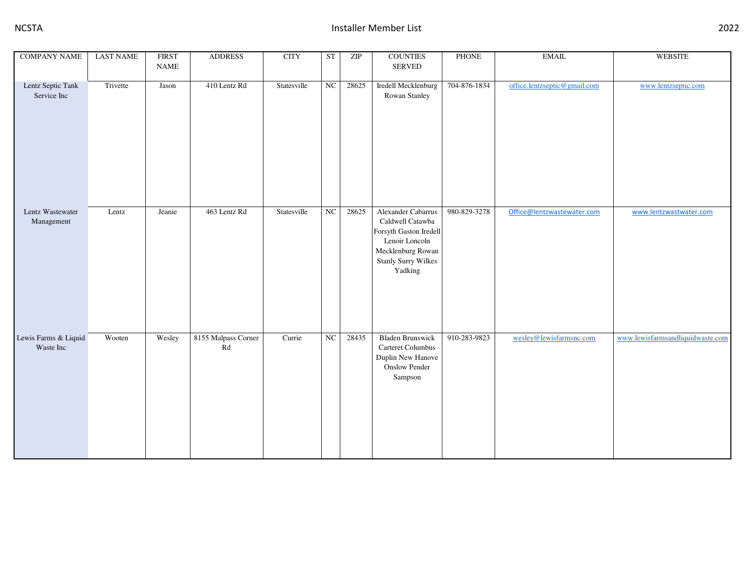| <b>COMPANY NAME</b>               | <b>LAST NAME</b> | <b>FIRST</b><br><b>NAME</b> | <b>ADDRESS</b>            | $\rm CITY$  | <b>ST</b> | ZIP   | <b>COUNTIES</b><br>SERVED                                                                                                                        | PHONE        | <b>EMAIL</b>                 | <b>WEBSITE</b>                   |
|-----------------------------------|------------------|-----------------------------|---------------------------|-------------|-----------|-------|--------------------------------------------------------------------------------------------------------------------------------------------------|--------------|------------------------------|----------------------------------|
| Lentz Septic Tank<br>Service Inc  | Trivette         | Jason                       | 410 Lentz Rd              | Statesville | NC        | 28625 | Iredell Mecklenburg<br>Rowan Stanley                                                                                                             | 704-876-1834 | office.lentzseptic@gmail.com | www.lentzseptic.com              |
| Lentz Wastewater<br>Management    | Lentz            | Jeanie                      | 463 Lentz Rd              | Statesville | NC        | 28625 | Alexander Cabarrus<br>Caldwell Catawba<br>Forsyth Gaston Iredell<br>Lenoir Loncoln<br>Mecklenburg Rowan<br><b>Stanly Surry Wilkes</b><br>Yadking | 980-829-3278 | Office@lentzwastewater.com   | www.lentzwastwater.com           |
| Lewis Farms & Liquid<br>Waste Inc | Wooten           | Wesley                      | 8155 Malpass Corner<br>Rd | Currie      | NC        | 28435 | <b>Bladen Brunswick</b><br>Carteret Columbus<br>Duplin New Hanove<br><b>Onslow Pender</b><br>Sampson                                             | 910-283-9823 | wesley@lewisfarmsnc.com      | www.lewisfarmsandliquidwaste.com |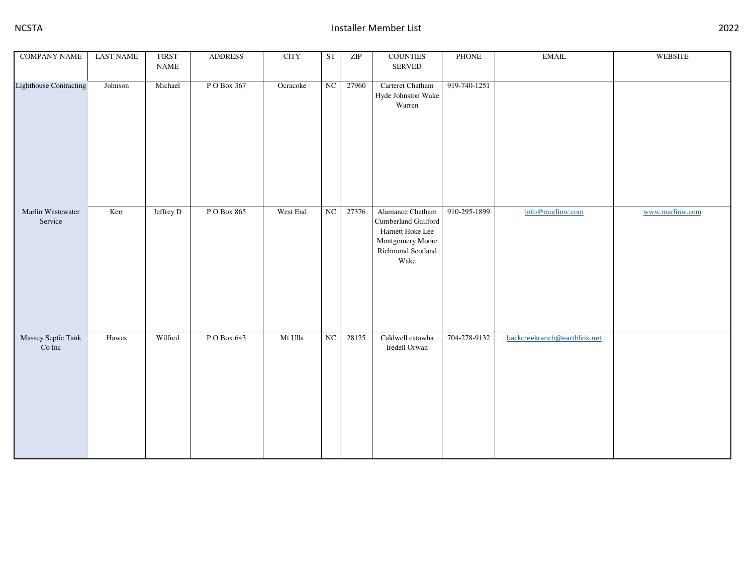| <b>COMPANY NAME</b>          | <b>LAST NAME</b> | <b>FIRST</b><br>$\ensuremath{\mathsf{NAME}}$ | <b>ADDRESS</b> | <b>CITY</b> | ST | ZIP   | <b>COUNTIES</b><br>SERVED                                                                                    | PHONE        | $\operatorname{EMAIL}$       | <b>WEBSITE</b>  |
|------------------------------|------------------|----------------------------------------------|----------------|-------------|----|-------|--------------------------------------------------------------------------------------------------------------|--------------|------------------------------|-----------------|
| Lighthouse Contracting       | Johnson          | Michael                                      | P O Box 367    | Ocracoke    | NC | 27960 | Carteret Chatham<br>Hyde Johnston Wake<br>Warren                                                             | 919-740-1251 |                              |                 |
| Marlin Wastewater<br>Service | Kerr             | Jeffrey D                                    | PO Box 865     | West End    | NC | 27376 | Alamance Chatham<br>Cumberland Guilford<br>Harnett Hoke Lee<br>Montgomery Moore<br>Richmond Scotland<br>Wake | 910-295-1899 | info@marlinw.com             | www.marlinw.com |
| Massey Septic Tank<br>Co Inc | Hawes            | Wilfred                                      | P O Box 643    | Mt Ulla     | NC | 28125 | Caldwell catawba<br>Iredell Orwan                                                                            | 704-278-9132 | backcreekranch@earthlink.net |                 |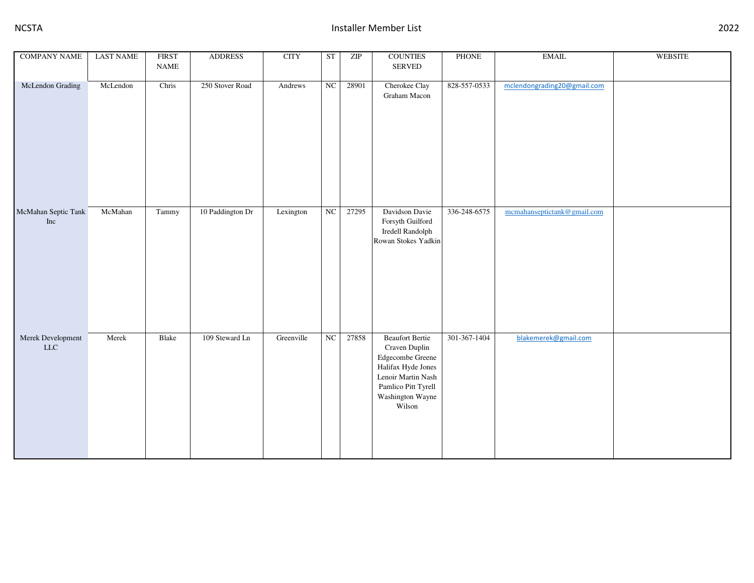| <b>COMPANY NAME</b>              | <b>LAST NAME</b> | <b>FIRST</b><br>$\ensuremath{\mathsf{NAME}}$ | <b>ADDRESS</b>   | <b>CITY</b> | ST | ZIP   | <b>COUNTIES</b><br>SERVED                                                                                                                                    | PHONE        | $\operatorname{EMAIL}$      | <b>WEBSITE</b> |
|----------------------------------|------------------|----------------------------------------------|------------------|-------------|----|-------|--------------------------------------------------------------------------------------------------------------------------------------------------------------|--------------|-----------------------------|----------------|
| McLendon Grading                 | McLendon         | Chris                                        | 250 Stover Road  | Andrews     | NC | 28901 | Cherokee Clay<br>Graham Macon                                                                                                                                | 828-557-0533 | mclendongrading20@gmail.com |                |
| McMahan Septic Tank<br>Inc       | McMahan          | Tammy                                        | 10 Paddington Dr | Lexington   | NC | 27295 | Davidson Davie<br>Forsyth Guilford<br>Iredell Randolph<br>Rowan Stokes Yadkin                                                                                | 336-248-6575 | mcmahanseptictank@gmail.com |                |
| Merek Development<br>${\rm LLC}$ | Merek            | Blake                                        | 109 Steward Ln   | Greenville  | NC | 27858 | <b>Beaufort Bertie</b><br>Craven Duplin<br>Edgecombe Greene<br>Halifax Hyde Jones<br>Lenoir Martin Nash<br>Pamlico Pitt Tyrell<br>Washington Wayne<br>Wilson | 301-367-1404 | blakemerek@gmail.com        |                |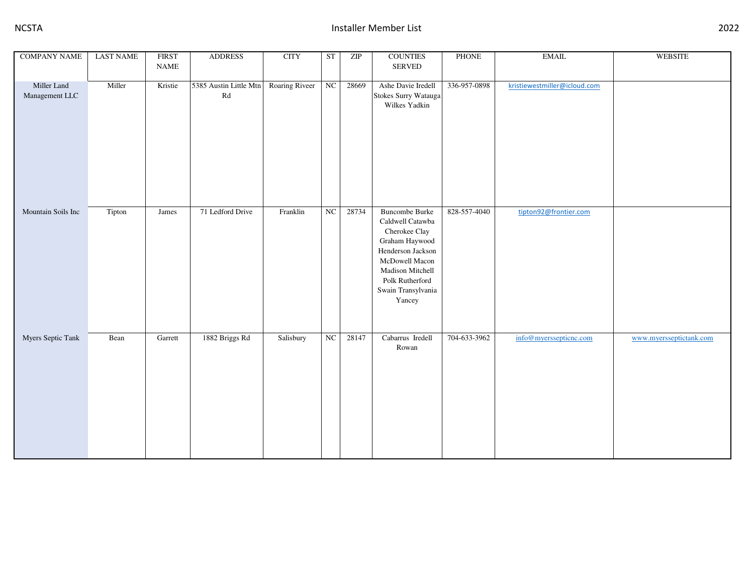| <b>COMPANY NAME</b>           | <b>LAST NAME</b> | <b>FIRST</b><br><b>NAME</b> | <b>ADDRESS</b>                                   | $\rm CITY$     | <b>ST</b> | $\ensuremath{\mathrm{ZIP}}$ | <b>COUNTIES</b><br>SERVED                                                                                                                                                                  | PHONE        | $\operatorname{EMAIL}$       | <b>WEBSITE</b>          |
|-------------------------------|------------------|-----------------------------|--------------------------------------------------|----------------|-----------|-----------------------------|--------------------------------------------------------------------------------------------------------------------------------------------------------------------------------------------|--------------|------------------------------|-------------------------|
| Miller Land<br>Management LLC | Miller           | Kristie                     | 5385 Austin Little Mtn<br>$\mathbf{R}\mathbf{d}$ | Roaring Riveer | NC        | 28669                       | Ashe Davie Iredell<br>Stokes Surry Watauga<br>Wilkes Yadkin                                                                                                                                | 336-957-0898 | kristiewestmiller@icloud.com |                         |
| Mountain Soils Inc            | Tipton           | James                       | 71 Ledford Drive                                 | Franklin       | NC        | 28734                       | <b>Buncombe Burke</b><br>Caldwell Catawba<br>Cherokee Clay<br>Graham Haywood<br>Henderson Jackson<br>McDowell Macon<br>Madison Mitchell<br>Polk Rutherford<br>Swain Transylvania<br>Yancey | 828-557-4040 | tipton92@frontier.com        |                         |
| Myers Septic Tank             | Bean             | Garrett                     | 1882 Briggs Rd                                   | Salisbury      | NC        | 28147                       | Cabarrus Iredell<br>Rowan                                                                                                                                                                  | 704-633-3962 | info@myerssepticnc.com       | www.myersseptictank.com |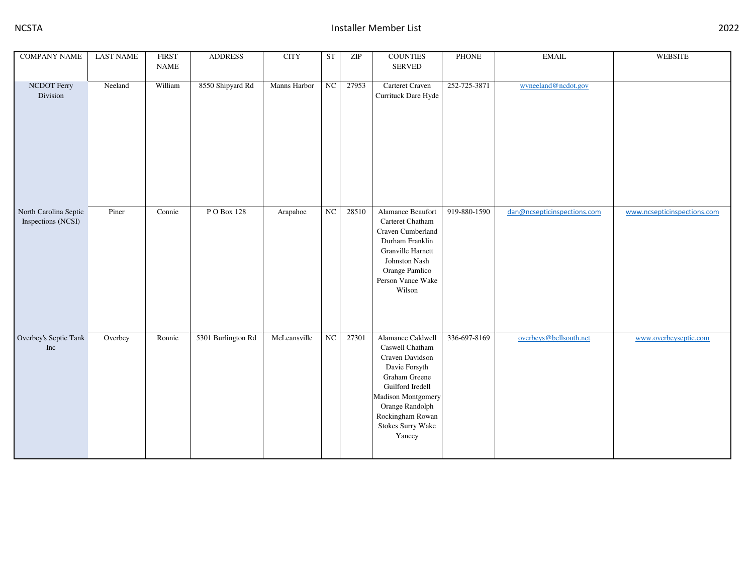| <b>COMPANY NAME</b>                         | <b>LAST NAME</b> | <b>FIRST</b><br><b>NAME</b> | <b>ADDRESS</b>     | <b>CITY</b>  | <b>ST</b>   | ZIP   | <b>COUNTIES</b><br><b>SERVED</b>                                                                                                                                                                          | <b>PHONE</b> | $\operatorname{EMAIL}$      | <b>WEBSITE</b>              |
|---------------------------------------------|------------------|-----------------------------|--------------------|--------------|-------------|-------|-----------------------------------------------------------------------------------------------------------------------------------------------------------------------------------------------------------|--------------|-----------------------------|-----------------------------|
| NCDOT Ferry<br>Division                     | Neeland          | William                     | 8550 Shipyard Rd   | Manns Harbor | $_{\rm NC}$ | 27953 | Carteret Craven<br>Currituck Dare Hyde                                                                                                                                                                    | 252-725-3871 | wyneeland@ncdot.gov         |                             |
| North Carolina Septic<br>Inspections (NCSI) | Piner            | Connie                      | P O Box 128        | Arapahoe     | $_{\rm NC}$ | 28510 | Alamance Beaufort<br>Carteret Chatham<br>Craven Cumberland<br>Durham Franklin<br>Granville Harnett<br>Johnston Nash<br>Orange Pamlico<br>Person Vance Wake<br>Wilson                                      | 919-880-1590 | dan@ncsepticinspections.com | www.ncsepticinspections.com |
| Overbey's Septic Tank<br>Inc                | Overbey          | Ronnie                      | 5301 Burlington Rd | McLeansville | NC          | 27301 | Alamance Caldwell<br>Caswell Chatham<br>Craven Davidson<br>Davie Forsyth<br>Graham Greene<br>Guilford Iredell<br>Madison Montgomery<br>Orange Randolph<br>Rockingham Rowan<br>Stokes Surry Wake<br>Yancey | 336-697-8169 | overbeys@bellsouth.net      | www.overbeyseptic.com       |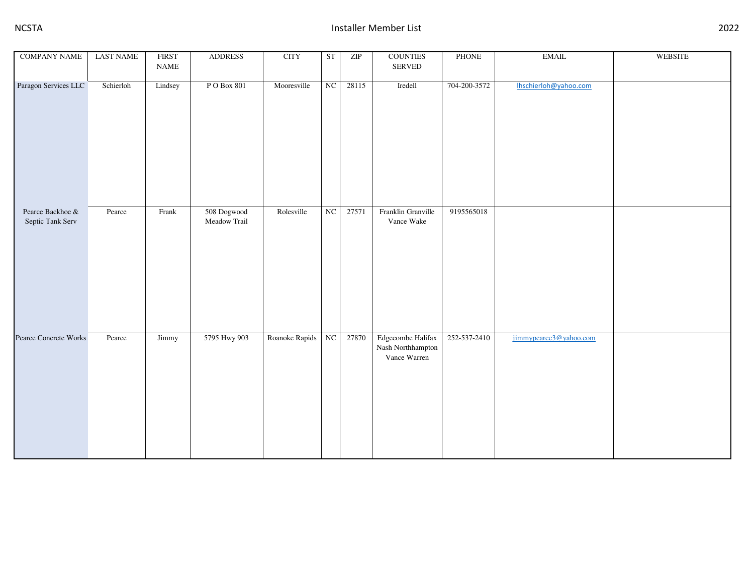| <b>COMPANY NAME</b>                  | <b>LAST NAME</b> | <b>FIRST</b><br>$\ensuremath{\mathsf{NAME}}$ | <b>ADDRESS</b>              | <b>CITY</b>    | ST                     | ZIP   | <b>COUNTIES</b><br>${\tt SERVED}$                      | PHONE        | $\operatorname{EMAIL}$ | <b>WEBSITE</b> |
|--------------------------------------|------------------|----------------------------------------------|-----------------------------|----------------|------------------------|-------|--------------------------------------------------------|--------------|------------------------|----------------|
| Paragon Services LLC                 | Schierloh        | Lindsey                                      | PO Box 801                  | Mooresville    | NC                     | 28115 | Iredell                                                | 704-200-3572 | Ihschierloh@yahoo.com  |                |
| Pearce Backhoe &<br>Septic Tank Serv | Pearce           | Frank                                        | 508 Dogwood<br>Meadow Trail | Rolesville     | NC                     | 27571 | Franklin Granville<br>Vance Wake                       | 9195565018   |                        |                |
| Pearce Concrete Works                | Pearce           | Jimmy                                        | 5795 Hwy 903                | Roanoke Rapids | $\overline{\text{NC}}$ | 27870 | Edgecombe Halifax<br>Nash Northhampton<br>Vance Warren | 252-537-2410 | jimmypearce3@yahoo.com |                |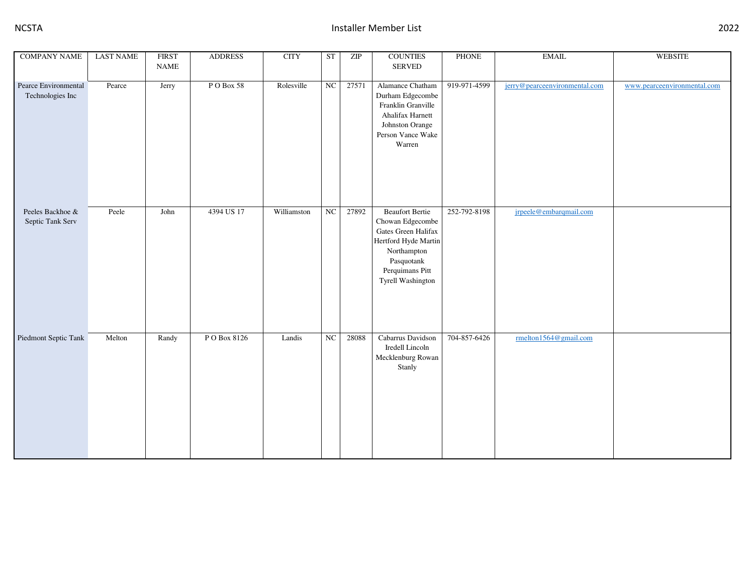| <b>COMPANY NAME</b>                      | <b>LAST NAME</b> | <b>FIRST</b> | <b>ADDRESS</b> | <b>CITY</b> | <b>ST</b> | ZIP   | <b>COUNTIES</b>                                                                                                                                                | <b>PHONE</b> | <b>EMAIL</b>                  | <b>WEBSITE</b>              |
|------------------------------------------|------------------|--------------|----------------|-------------|-----------|-------|----------------------------------------------------------------------------------------------------------------------------------------------------------------|--------------|-------------------------------|-----------------------------|
|                                          |                  | <b>NAME</b>  |                |             |           |       | SERVED                                                                                                                                                         |              |                               |                             |
| Pearce Environmental<br>Technologies Inc | Pearce           | Jerry        | PO Box 58      | Rolesville  | NC        | 27571 | Alamance Chatham<br>Durham Edgecombe<br>Franklin Granville<br>Ahalifax Harnett<br>Johnston Orange<br>Person Vance Wake<br>Warren                               | 919-971-4599 | jerry@pearceenvironmental.com | www.pearceenvironmental.com |
| Peeles Backhoe &<br>Septic Tank Serv     | Peele            | John         | 4394 US 17     | Williamston | NC        | 27892 | <b>Beaufort Bertie</b><br>Chowan Edgecombe<br>Gates Green Halifax<br>Hertford Hyde Martin<br>Northampton<br>Pasquotank<br>Perquimans Pitt<br>Tyrell Washington | 252-792-8198 | jrpeele@embarqmail.com        |                             |
| Piedmont Septic Tank                     | Melton           | Randy        | PO Box 8126    | Landis      | NC        | 28088 | Cabarrus Davidson<br>Iredell Lincoln<br>Mecklenburg Rowan<br>Stanly                                                                                            | 704-857-6426 | rmelton1564@gmail.com         |                             |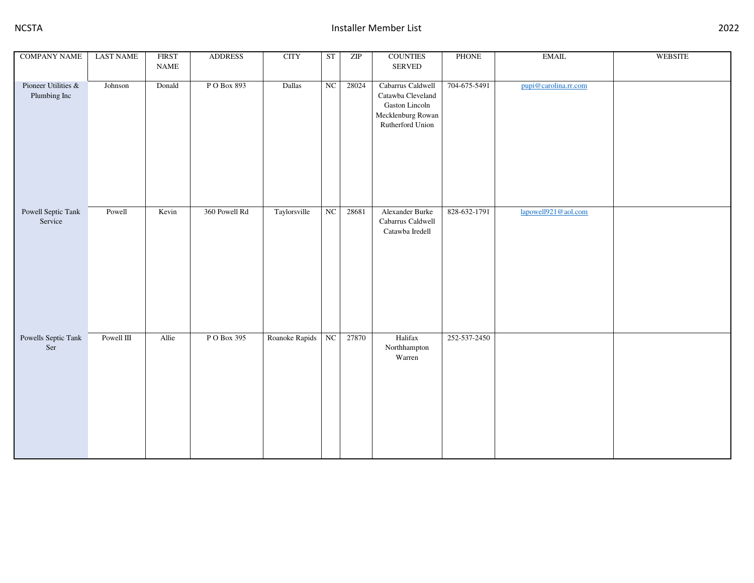| <b>COMPANY NAME</b>                    | <b>LAST NAME</b> | <b>FIRST</b><br>$\ensuremath{\mathsf{NAME}}$ | <b>ADDRESS</b> | <b>CITY</b>       | <b>ST</b> | $\ensuremath{\mathrm{ZIP}}$ | <b>COUNTIES</b><br>SERVED                                                                         | PHONE        | $\operatorname{EMAIL}$ | WEBSITE |
|----------------------------------------|------------------|----------------------------------------------|----------------|-------------------|-----------|-----------------------------|---------------------------------------------------------------------------------------------------|--------------|------------------------|---------|
| Pioneer Utilities $\&$<br>Plumbing Inc | Johnson          | Donald                                       | P O Box 893    | Dallas            | NC        | 28024                       | Cabarrus Caldwell<br>Catawba Cleveland<br>Gaston Lincoln<br>Mecklenburg Rowan<br>Rutherford Union | 704-675-5491 | pupi@carolina.rr.com   |         |
| Powell Septic Tank<br>Service          | Powell           | Kevin                                        | 360 Powell Rd  | Taylorsville      | NC        | 28681                       | Alexander Burke<br>Cabarrus Caldwell<br>Catawba Iredell                                           | 828-632-1791 | lapowell921@aol.com    |         |
| Powells Septic Tank<br>Ser             | Powell III       | Allie                                        | P O Box 395    | Roanoke Rapids NC |           | 27870                       | Halifax<br>Northhampton<br>Warren                                                                 | 252-537-2450 |                        |         |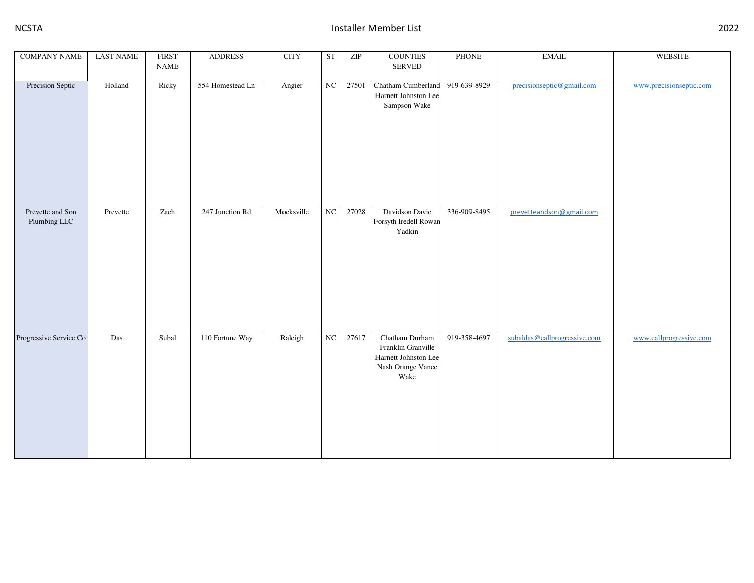| <b>COMPANY NAME</b>              | <b>LAST NAME</b> | <b>FIRST</b><br>$\ensuremath{\mathsf{NAME}}$ | <b>ADDRESS</b>   | <b>CITY</b> | ST | ZIP   | <b>COUNTIES</b><br>SERVED                                                                 | PHONE        | $\text{EMAIL}$               | <b>WEBSITE</b>          |
|----------------------------------|------------------|----------------------------------------------|------------------|-------------|----|-------|-------------------------------------------------------------------------------------------|--------------|------------------------------|-------------------------|
| Precision Septic                 | Holland          | Ricky                                        | 554 Homestead Ln | Angier      | NC | 27501 | Chatham Cumberland<br>Harnett Johnston Lee<br>Sampson Wake                                | 919-639-8929 | precisionseptic@gmail.com    | www.precisionseptic.com |
| Prevette and Son<br>Plumbing LLC | Prevette         | Zach                                         | 247 Junction Rd  | Mocksville  | NC | 27028 | Davidson Davie<br>Forsyth Iredell Rowan<br>Yadkin                                         | 336-909-8495 | prevetteandson@gmail.com     |                         |
| Progressive Service Co           | Das              | Subal                                        | 110 Fortune Way  | Raleigh     | NC | 27617 | Chatham Durham<br>Franklin Granville<br>Harnett Johnston Lee<br>Nash Orange Vance<br>Wake | 919-358-4697 | subaldas@callprogressive.com | www.callprogressive.com |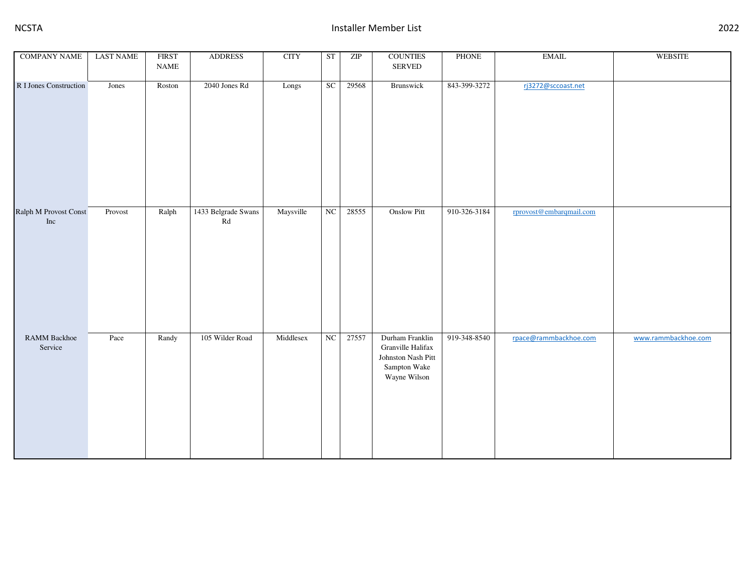| <b>COMPANY NAME</b>          | <b>LAST NAME</b> | <b>FIRST</b><br>$\ensuremath{\mathsf{NAME}}$ | <b>ADDRESS</b>                                    | <b>CITY</b> | ST | ZIP   | <b>COUNTIES</b><br>SERVED                                                                  | PHONE        | $\operatorname{EMAIL}$  | WEBSITE             |
|------------------------------|------------------|----------------------------------------------|---------------------------------------------------|-------------|----|-------|--------------------------------------------------------------------------------------------|--------------|-------------------------|---------------------|
| R I Jones Construction       | Jones            | Roston                                       | 2040 Jones Rd                                     | Longs       | SC | 29568 | Brunswick                                                                                  | 843-399-3272 | rj3272@sccoast.net      |                     |
| Ralph M Provost Const<br>Inc | Provost          | Ralph                                        | 1433 Belgrade Swans<br>$\mathop{\rm Rd}\nolimits$ | Maysville   | NC | 28555 | <b>Onslow Pitt</b>                                                                         | 910-326-3184 | rprovost@embarqmail.com |                     |
| RAMM Backhoe<br>Service      | Pace             | Randy                                        | 105 Wilder Road                                   | Middlesex   | NC | 27557 | Durham Franklin<br>Granville Halifax<br>Johnston Nash Pitt<br>Sampton Wake<br>Wayne Wilson | 919-348-8540 | rpace@rammbackhoe.com   | www.rammbackhoe.com |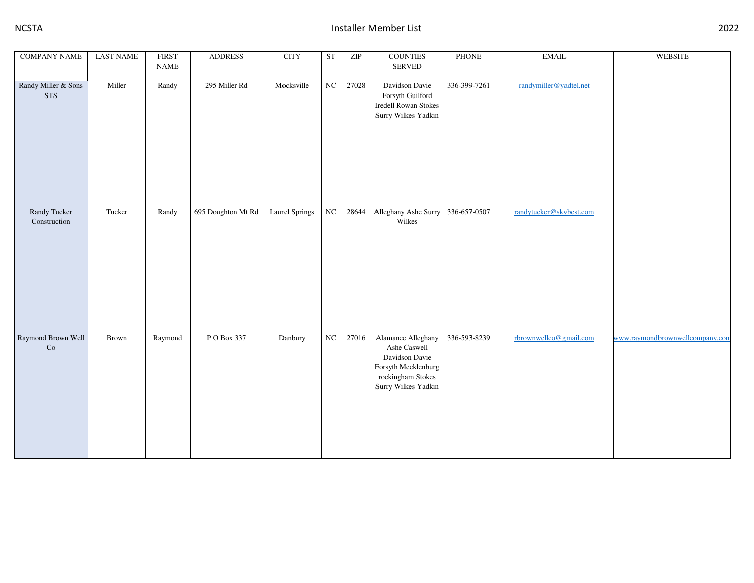| <b>COMPANY NAME</b>               | <b>LAST NAME</b> | <b>FIRST</b><br>$\ensuremath{\mathsf{NAME}}$ | <b>ADDRESS</b>     | <b>CITY</b>    | <b>ST</b> | ZIP   | <b>COUNTIES</b><br>SERVED                                                                                               | PHONE        | <b>EMAIL</b>            | <b>WEBSITE</b>                  |
|-----------------------------------|------------------|----------------------------------------------|--------------------|----------------|-----------|-------|-------------------------------------------------------------------------------------------------------------------------|--------------|-------------------------|---------------------------------|
| Randy Miller & Sons<br><b>STS</b> | Miller           | Randy                                        | 295 Miller Rd      | Mocksville     | NC        | 27028 | Davidson Davie<br>Forsyth Guilford<br>Iredell Rowan Stokes<br>Surry Wilkes Yadkin                                       | 336-399-7261 | randymiller@yadtel.net  |                                 |
| Randy Tucker<br>Construction      | Tucker           | Randy                                        | 695 Doughton Mt Rd | Laurel Springs | NC        | 28644 | Alleghany Ashe Surry<br>Wilkes                                                                                          | 336-657-0507 | randytucker@skybest.com |                                 |
| Raymond Brown Well<br>$\rm{Co}$   | Brown            | Raymond                                      | P O Box 337        | Danbury        | NC        | 27016 | Alamance Alleghany<br>Ashe Caswell<br>Davidson Davie<br>Forsyth Mecklenburg<br>rockingham Stokes<br>Surry Wilkes Yadkin | 336-593-8239 | rbrownwellco@gmail.com  | www.raymondbrownwellcompany.com |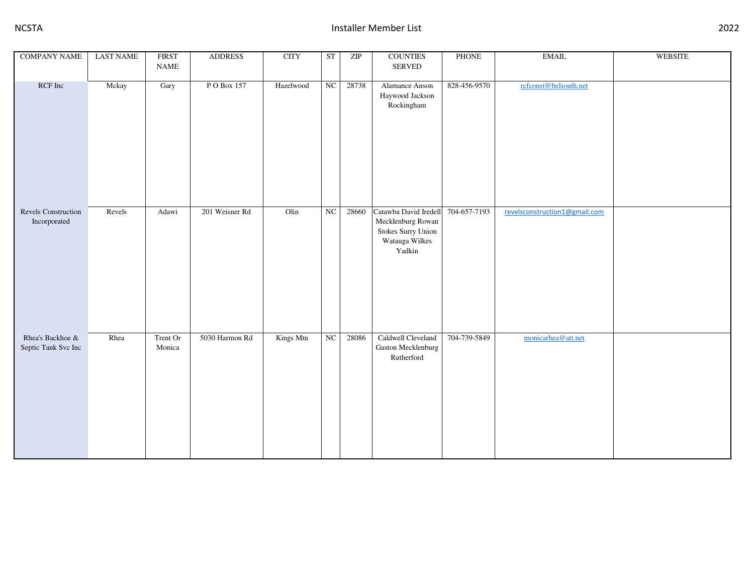| <b>COMPANY NAME</b>                     | <b>LAST NAME</b> | <b>FIRST</b><br><b>NAME</b> | <b>ADDRESS</b> | <b>CITY</b> | <b>ST</b> | $\ensuremath{\mathrm{ZIP}}$ | <b>COUNTIES</b><br>SERVED                                                                    | PHONE        | $\operatorname{EMAIL}$        | <b>WEBSITE</b> |
|-----------------------------------------|------------------|-----------------------------|----------------|-------------|-----------|-----------------------------|----------------------------------------------------------------------------------------------|--------------|-------------------------------|----------------|
| RCF Inc                                 | Mckay            | Gary                        | P O Box 157    | Hazelwood   | NC        | 28738                       | Alamance Anson<br>Haywood Jackson<br>Rockingham                                              | 828-456-9570 | rcfconst@belsouth.net         |                |
| Revels Construction<br>Incorporated     | Revels           | Adawi                       | 201 Weisner Rd | Olin        | NC        | 28660                       | Catawba David Iredell<br>Mecklenburg Rowan<br>Stokes Surry Union<br>Watauga Wilkes<br>Yadkin | 704-657-7193 | revelsconstruction1@gmail.com |                |
| Rhea's Backhoe &<br>Septic Tank Svc Inc | Rhea             | Trent Or<br>Monica          | 5030 Harmon Rd | Kings Mtn   | NC        | 28086                       | Caldwell Cleveland<br>Gaston Mecklenburg<br>Rutherford                                       | 704-739-5849 | monicarhea@att.net            |                |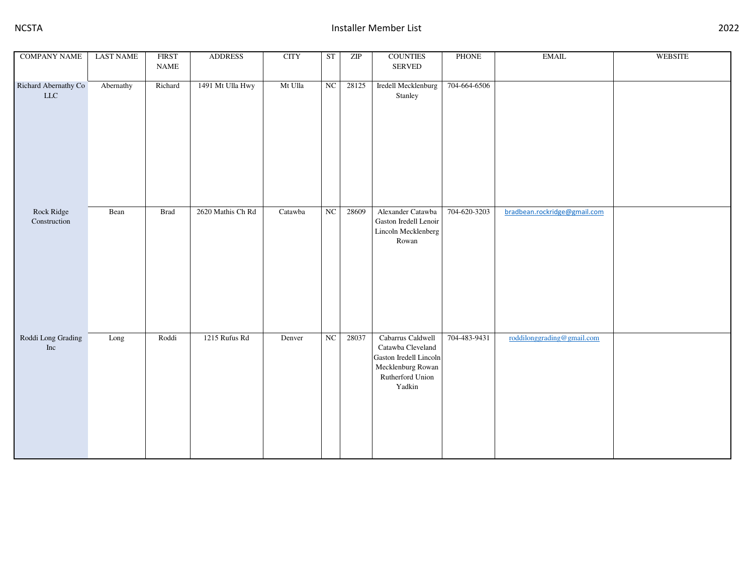| <b>COMPANY NAME</b>                 | <b>LAST NAME</b> | <b>FIRST</b><br><b>NAME</b> | <b>ADDRESS</b>    | <b>CITY</b> | <b>ST</b> | $\ensuremath{\mathrm{ZIP}}$ | <b>COUNTIES</b><br>SERVED                                                                                           | PHONE        | $\operatorname{EMAIL}$       | <b>WEBSITE</b> |
|-------------------------------------|------------------|-----------------------------|-------------------|-------------|-----------|-----------------------------|---------------------------------------------------------------------------------------------------------------------|--------------|------------------------------|----------------|
| Richard Abernathy Co<br>${\rm LLC}$ | Abernathy        | Richard                     | 1491 Mt Ulla Hwy  | Mt Ulla     | NC        | 28125                       | Iredell Mecklenburg<br>Stanley                                                                                      | 704-664-6506 |                              |                |
| Rock Ridge<br>Construction          | Bean             | <b>Brad</b>                 | 2620 Mathis Ch Rd | Catawba     | NC        | 28609                       | Alexander Catawba<br>Gaston Iredell Lenoir<br>Lincoln Mecklenberg<br>Rowan                                          | 704-620-3203 | bradbean.rockridge@gmail.com |                |
| Roddi Long Grading<br>Inc           | Long             | Roddi                       | 1215 Rufus Rd     | Denver      | NC        | 28037                       | Cabarrus Caldwell<br>Catawba Cleveland<br>Gaston Iredell Lincoln<br>Mecklenburg Rowan<br>Rutherford Union<br>Yadkin | 704-483-9431 | roddilonggrading@gmail.com   |                |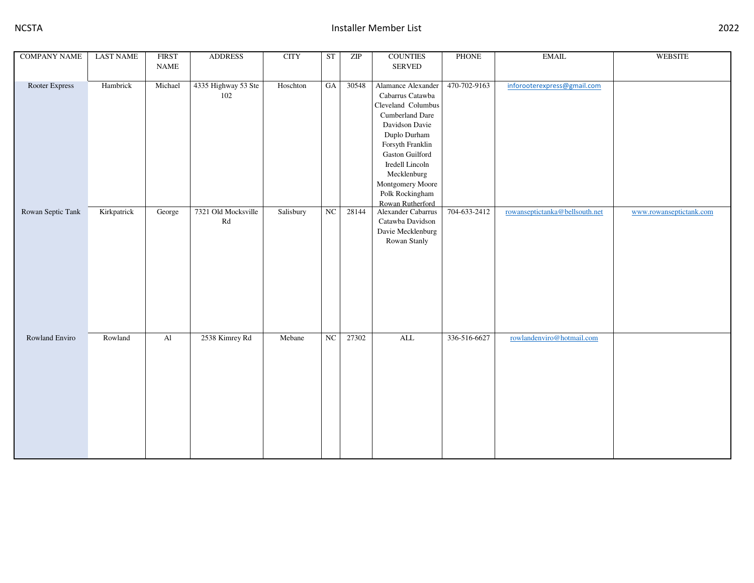| <b>COMPANY NAME</b> | <b>LAST NAME</b> | <b>FIRST</b>                 | <b>ADDRESS</b>         | <b>CITY</b> | <b>ST</b> | ZIP   | <b>COUNTIES</b>                        | PHONE        | $\operatorname{EMAIL}$         | <b>WEBSITE</b>          |
|---------------------|------------------|------------------------------|------------------------|-------------|-----------|-------|----------------------------------------|--------------|--------------------------------|-------------------------|
|                     |                  | $\ensuremath{\mathsf{NAME}}$ |                        |             |           |       | SERVED                                 |              |                                |                         |
|                     |                  |                              |                        |             |           |       |                                        |              |                                |                         |
| Rooter Express      | Hambrick         | Michael                      | 4335 Highway 53 Ste    | Hoschton    | GA        | 30548 | Alamance Alexander                     | 470-702-9163 | inforooterexpress@gmail.com    |                         |
|                     |                  |                              | 102                    |             |           |       | Cabarrus Catawba                       |              |                                |                         |
|                     |                  |                              |                        |             |           |       | Cleveland Columbus                     |              |                                |                         |
|                     |                  |                              |                        |             |           |       | Cumberland Dare                        |              |                                |                         |
|                     |                  |                              |                        |             |           |       | Davidson Davie                         |              |                                |                         |
|                     |                  |                              |                        |             |           |       | Duplo Durham                           |              |                                |                         |
|                     |                  |                              |                        |             |           |       | Forsyth Franklin                       |              |                                |                         |
|                     |                  |                              |                        |             |           |       | Gaston Guilford                        |              |                                |                         |
|                     |                  |                              |                        |             |           |       | Iredell Lincoln                        |              |                                |                         |
|                     |                  |                              |                        |             |           |       | Mecklenburg                            |              |                                |                         |
|                     |                  |                              |                        |             |           |       | Montgomery Moore                       |              |                                |                         |
|                     |                  |                              |                        |             |           |       | Polk Rockingham                        |              |                                |                         |
|                     |                  |                              |                        |             |           |       | Rowan Rutherford<br>Alexander Cabarrus |              |                                |                         |
| Rowan Septic Tank   | Kirkpatrick      | George                       | 7321 Old Mocksville    | Salisbury   | NC        | 28144 |                                        | 704-633-2412 | rowanseptictanka@bellsouth.net | www.rowanseptictank.com |
|                     |                  |                              | $\mathbf{R}\mathbf{d}$ |             |           |       | Catawba Davidson                       |              |                                |                         |
|                     |                  |                              |                        |             |           |       | Davie Mecklenburg                      |              |                                |                         |
|                     |                  |                              |                        |             |           |       | Rowan Stanly                           |              |                                |                         |
|                     |                  |                              |                        |             |           |       |                                        |              |                                |                         |
|                     |                  |                              |                        |             |           |       |                                        |              |                                |                         |
|                     |                  |                              |                        |             |           |       |                                        |              |                                |                         |
|                     |                  |                              |                        |             |           |       |                                        |              |                                |                         |
|                     |                  |                              |                        |             |           |       |                                        |              |                                |                         |
|                     |                  |                              |                        |             |           |       |                                        |              |                                |                         |
|                     |                  |                              |                        |             |           |       |                                        |              |                                |                         |
|                     |                  |                              |                        |             |           |       |                                        |              |                                |                         |
|                     |                  |                              |                        |             |           |       |                                        |              |                                |                         |
| Rowland Enviro      | Rowland          | $\overline{Al}$              | 2538 Kimrey Rd         | Mebane      | NC        | 27302 | $\mbox{ALL}$                           | 336-516-6627 | rowlandenviro@hotmail.com      |                         |
|                     |                  |                              |                        |             |           |       |                                        |              |                                |                         |
|                     |                  |                              |                        |             |           |       |                                        |              |                                |                         |
|                     |                  |                              |                        |             |           |       |                                        |              |                                |                         |
|                     |                  |                              |                        |             |           |       |                                        |              |                                |                         |
|                     |                  |                              |                        |             |           |       |                                        |              |                                |                         |
|                     |                  |                              |                        |             |           |       |                                        |              |                                |                         |
|                     |                  |                              |                        |             |           |       |                                        |              |                                |                         |
|                     |                  |                              |                        |             |           |       |                                        |              |                                |                         |
|                     |                  |                              |                        |             |           |       |                                        |              |                                |                         |
|                     |                  |                              |                        |             |           |       |                                        |              |                                |                         |
|                     |                  |                              |                        |             |           |       |                                        |              |                                |                         |
|                     |                  |                              |                        |             |           |       |                                        |              |                                |                         |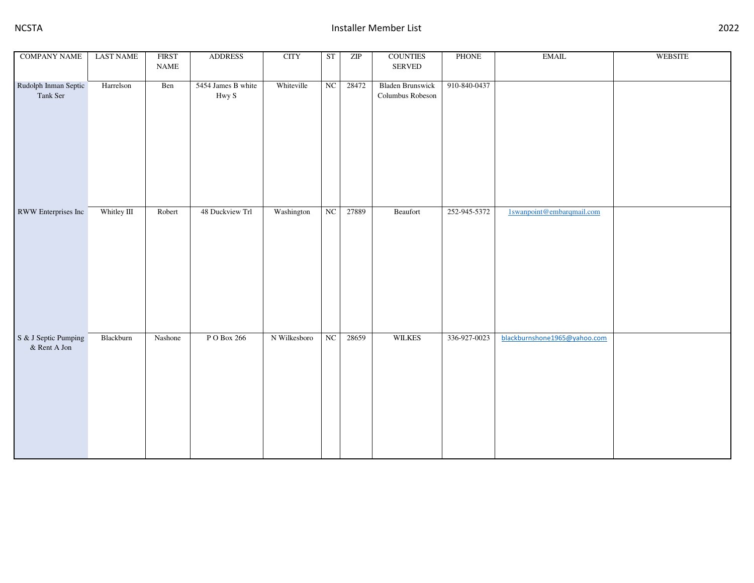| <b>COMPANY NAME</b>                  | <b>LAST NAME</b> | <b>FIRST</b><br>$\ensuremath{\mathsf{NAME}}$ | <b>ADDRESS</b>              | <b>CITY</b>  | ST | ZIP   | <b>COUNTIES</b><br>SERVED                   | PHONE        | $\operatorname{EMAIL}$       | WEBSITE |
|--------------------------------------|------------------|----------------------------------------------|-----------------------------|--------------|----|-------|---------------------------------------------|--------------|------------------------------|---------|
| Rudolph Inman Septic<br>Tank Ser     | Harrelson        | Ben                                          | 5454 James B white<br>Hwy S | Whiteville   | NC | 28472 | <b>Bladen Brunswick</b><br>Columbus Robeson | 910-840-0437 |                              |         |
| RWW Enterprises Inc                  | Whitley III      | Robert                                       | 48 Duckview Trl             | Washington   | NC | 27889 | Beaufort                                    | 252-945-5372 | 1swanpoint@embarqmail.com    |         |
| S & J Septic Pumping<br>& Rent A Jon | Blackburn        | Nashone                                      | P O Box 266                 | N Wilkesboro | NC | 28659 | <b>WILKES</b>                               | 336-927-0023 | blackburnshone1965@yahoo.com |         |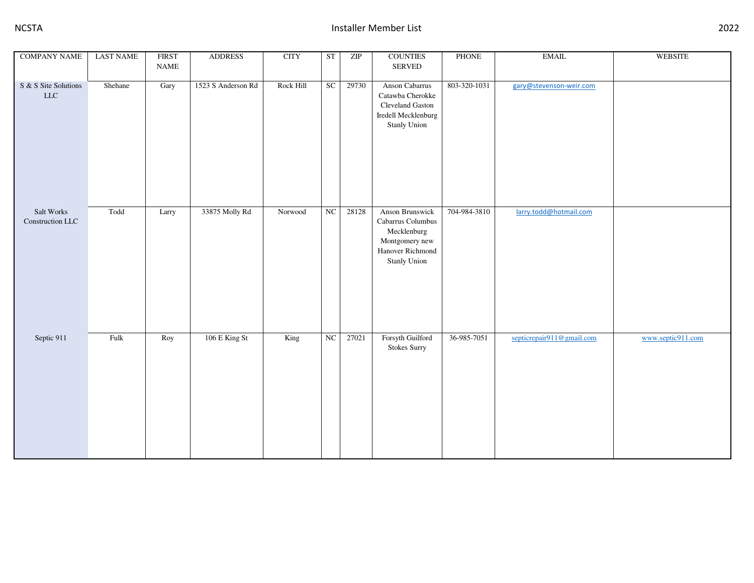| <b>COMPANY NAME</b>                 | <b>LAST NAME</b> | <b>FIRST</b><br>$\ensuremath{\mathsf{NAME}}$ | <b>ADDRESS</b>     | $\rm CITY$ | ST | ZIP   | <b>COUNTIES</b><br><b>SERVED</b>                                                                                        | PHONE        | <b>EMAIL</b>              | WEBSITE           |
|-------------------------------------|------------------|----------------------------------------------|--------------------|------------|----|-------|-------------------------------------------------------------------------------------------------------------------------|--------------|---------------------------|-------------------|
| S & S Site Solutions<br>${\rm LLC}$ | Shehane          | Gary                                         | 1523 S Anderson Rd | Rock Hill  | SC | 29730 | Anson Cabarrus<br>Catawba Cherokke<br>Cleveland Gaston<br>Iredell Mecklenburg<br><b>Stanly Union</b>                    | 803-320-1031 | gary@stevenson-weir.com   |                   |
| Salt Works<br>Construction LLC      | Todd             | Larry                                        | 33875 Molly Rd     | Norwood    | NC | 28128 | <b>Anson Brunswick</b><br>Cabarrus Columbus<br>Mecklenburg<br>Montgomery new<br>Hanover Richmond<br><b>Stanly Union</b> | 704-984-3810 | larry.todd@hotmail.com    |                   |
| Septic 911                          | Fulk             | Roy                                          | 106 E King St      | King       | NC | 27021 | Forsyth Guilford<br><b>Stokes Surry</b>                                                                                 | 36-985-7051  | septicrepair911@gmail.com | www.septic911.com |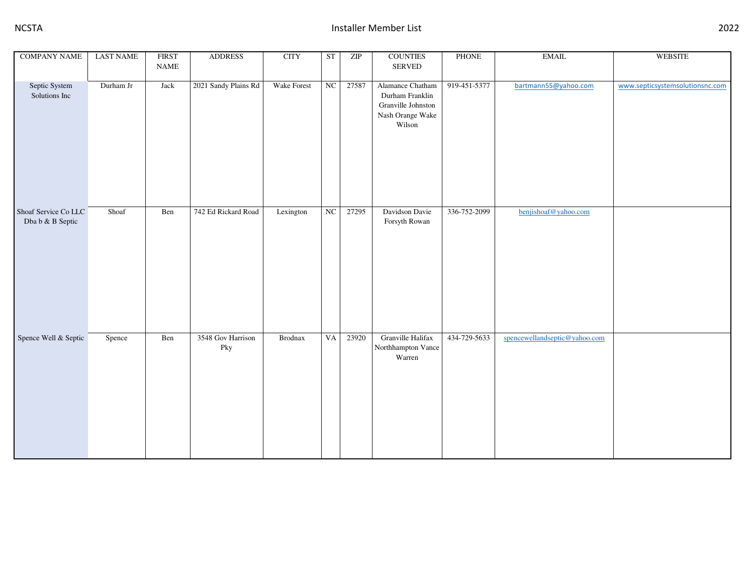| <b>COMPANY NAME</b>                      | <b>LAST NAME</b> | <b>FIRST</b> | <b>ADDRESS</b>           | <b>CITY</b> | ST | ZIP   | <b>COUNTIES</b>                                                                         | PHONE        | <b>EMAIL</b>                  | WEBSITE                         |
|------------------------------------------|------------------|--------------|--------------------------|-------------|----|-------|-----------------------------------------------------------------------------------------|--------------|-------------------------------|---------------------------------|
|                                          |                  | NAME         |                          |             |    |       | SERVED                                                                                  |              |                               |                                 |
| Septic System<br>Solutions Inc           | Durham Jr        | Jack         | 2021 Sandy Plains Rd     | Wake Forest | NC | 27587 | Alamance Chatham<br>Durham Franklin<br>Granville Johnston<br>Nash Orange Wake<br>Wilson | 919-451-5377 | bartmann55@yahoo.com          | www.septicsystemsolutionsnc.com |
| Shoaf Service Co LLC<br>Dba b & B Septic | Shoaf            | Ben          | 742 Ed Rickard Road      | Lexington   | NC | 27295 | Davidson Davie<br>Forsyth Rowan                                                         | 336-752-2099 | benjishoaf@yahoo.com          |                                 |
| Spence Well & Septic                     | Spence           | Ben          | 3548 Gov Harrison<br>Pky | Brodnax     | VA | 23920 | Granville Halifax<br>Northhampton Vance<br>Warren                                       | 434-729-5633 | spencewellandseptic@yahoo.com |                                 |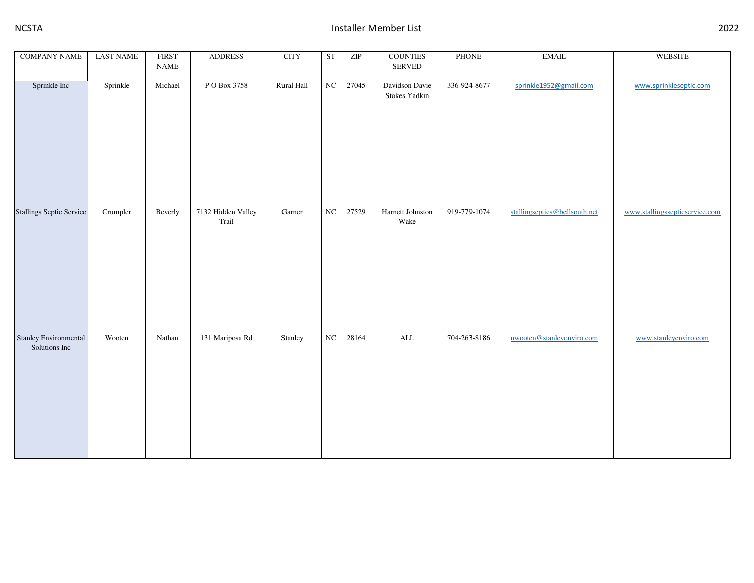| <b>COMPANY NAME</b>                    | <b>LAST NAME</b> | <b>FIRST</b><br>$\ensuremath{\mathsf{NAME}}$ | <b>ADDRESS</b>              | <b>CITY</b> | ST | ZIP   | <b>COUNTIES</b><br>${\tt SERVED}$ | PHONE        | <b>EMAIL</b>                  | WEBSITE                        |
|----------------------------------------|------------------|----------------------------------------------|-----------------------------|-------------|----|-------|-----------------------------------|--------------|-------------------------------|--------------------------------|
| Sprinkle Inc                           | Sprinkle         | Michael                                      | P O Box 3758                | Rural Hall  | NC | 27045 | Davidson Davie<br>Stokes Yadkin   | 336-924-8677 | sprinkle1952@gmail.com        | www.sprinkleseptic.com         |
| <b>Stallings Septic Service</b>        | Crumpler         | Beverly                                      | 7132 Hidden Valley<br>Trail | Garner      | NC | 27529 | Harnett Johnston<br>Wake          | 919-779-1074 | stallingseptics@bellsouth.net | www.stallingssepticservice.com |
| Stanley Environmental<br>Solutions Inc | Wooten           | Nathan                                       | 131 Mariposa Rd             | Stanley     | NC | 28164 | $\mbox{ALL}$                      | 704-263-8186 | nwooten@stanleyenviro.com     | www.stanleyenviro.com          |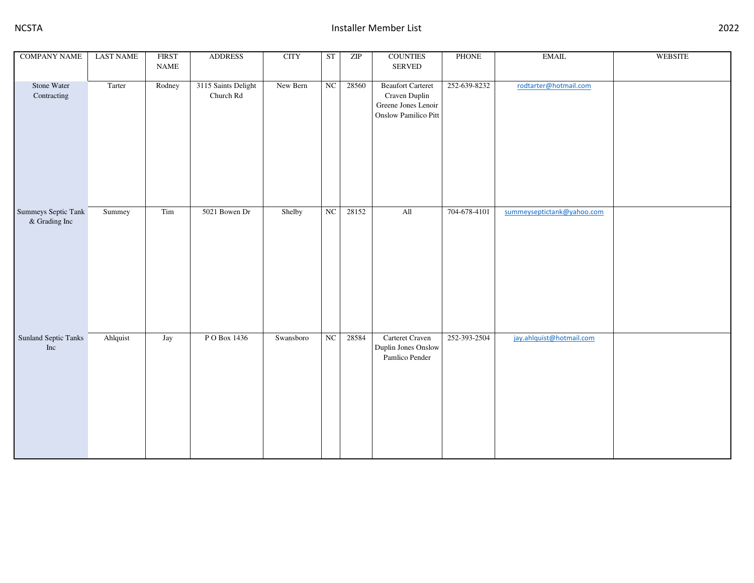| <b>COMPANY NAME</b>                  | <b>LAST NAME</b> | <b>FIRST</b><br>$\ensuremath{\mathsf{NAME}}$ | <b>ADDRESS</b>                   | <b>CITY</b> | ST | $\ensuremath{\mathrm{ZIP}}$ | <b>COUNTIES</b><br>SERVED                                                                       | PHONE        | <b>EMAIL</b>               | <b>WEBSITE</b> |
|--------------------------------------|------------------|----------------------------------------------|----------------------------------|-------------|----|-----------------------------|-------------------------------------------------------------------------------------------------|--------------|----------------------------|----------------|
| Stone Water<br>Contracting           | Tarter           | Rodney                                       | 3115 Saints Delight<br>Church Rd | New Bern    | NC | 28560                       | <b>Beaufort Carteret</b><br>Craven Duplin<br>Greene Jones Lenoir<br><b>Onslow Pamilico Pitt</b> | 252-639-8232 | rodtarter@hotmail.com      |                |
| Summeys Septic Tank<br>& Grading Inc | Summey           | Tim                                          | 5021 Bowen Dr                    | Shelby      | NC | 28152                       | All                                                                                             | 704-678-4101 | summeyseptictank@yahoo.com |                |
| Sunland Septic Tanks<br>Inc          | Ahlquist         | Jay                                          | P O Box 1436                     | Swansboro   | NC | 28584                       | Carteret Craven<br>Duplin Jones Onslow<br>Pamlico Pender                                        | 252-393-2504 | jay.ahlquist@hotmail.com   |                |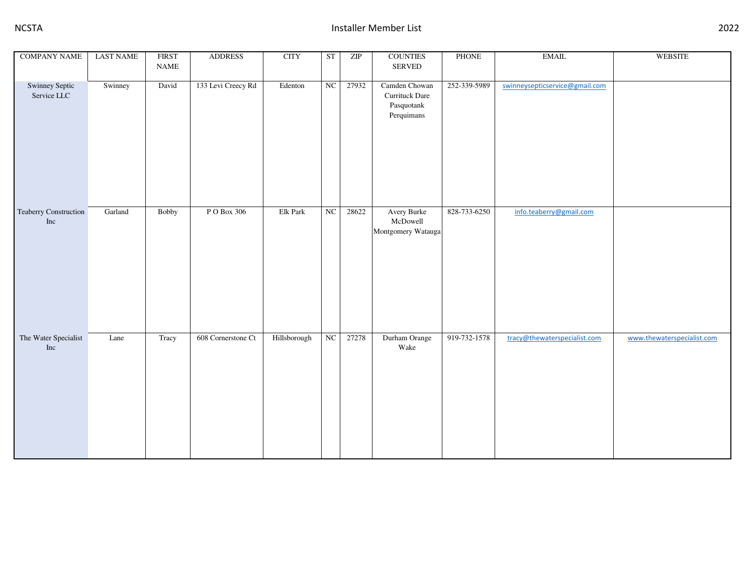| <b>COMPANY NAME</b>           | <b>LAST NAME</b> | <b>FIRST</b><br>NAME | <b>ADDRESS</b>     | <b>CITY</b>  | ST | ZIP   | <b>COUNTIES</b><br>SERVED                                   | PHONE        | $\operatorname{EMAIL}$         | WEBSITE                    |
|-------------------------------|------------------|----------------------|--------------------|--------------|----|-------|-------------------------------------------------------------|--------------|--------------------------------|----------------------------|
| Swinney Septic<br>Service LLC | Swinney          | David                | 133 Levi Creecy Rd | Edenton      | NC | 27932 | Camden Chowan<br>Currituck Dare<br>Pasquotank<br>Perquimans | 252-339-5989 | swinneysepticservice@gmail.com |                            |
| Teaberry Construction<br>Inc  | Garland          | <b>Bobby</b>         | P O Box 306        | Elk Park     | NC | 28622 | Avery Burke<br>McDowell<br>Montgomery Watauga               | 828-733-6250 | info.teaberry@gmail.com        |                            |
| The Water Specialist<br>Inc   | Lane             | Tracy                | 608 Cornerstone Ct | Hillsborough | NC | 27278 | Durham Orange<br>Wake                                       | 919-732-1578 | tracy@thewaterspecialist.com   | www.thewaterspecialist.com |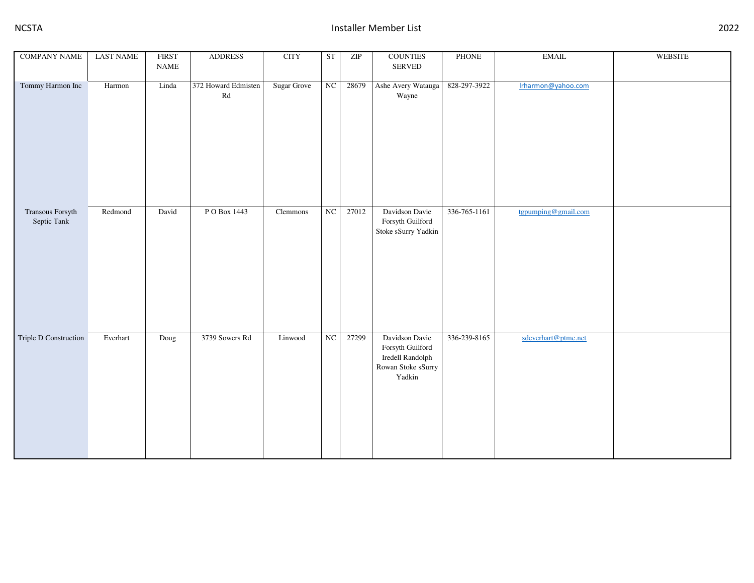| <b>COMPANY NAME</b>             | <b>LAST NAME</b> | <b>FIRST</b><br>$\ensuremath{\mathsf{NAME}}$ | <b>ADDRESS</b>                                | <b>CITY</b>        | ST | ZIP   | <b>COUNTIES</b><br>SERVED                                                              | PHONE        | $\operatorname{EMAIL}$ | WEBSITE |
|---------------------------------|------------------|----------------------------------------------|-----------------------------------------------|--------------------|----|-------|----------------------------------------------------------------------------------------|--------------|------------------------|---------|
| Tommy Harmon Inc                | Harmon           | Linda                                        | 372 Howard Edmisten<br>$\mathbf{R}\mathbf{d}$ | <b>Sugar Grove</b> | NC | 28679 | Ashe Avery Watauga<br>Wayne                                                            | 828-297-3922 | Irharmon@yahoo.com     |         |
| Transous Forsyth<br>Septic Tank | Redmond          | David                                        | P O Box 1443                                  | Clemmons           | NC | 27012 | Davidson Davie<br>Forsyth Guilford<br>Stoke sSurry Yadkin                              | 336-765-1161 | tgpumping@gmail.com    |         |
| Triple D Construction           | Everhart         | Doug                                         | 3739 Sowers Rd                                | Linwood            | NC | 27299 | Davidson Davie<br>Forsyth Guilford<br>Iredell Randolph<br>Rowan Stoke sSurry<br>Yadkin | 336-239-8165 | sdeverhart@ptmc.net    |         |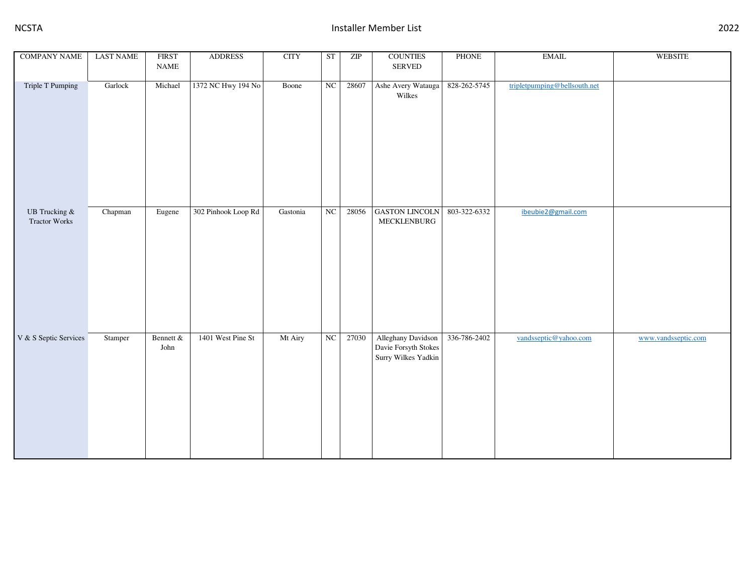| <b>COMPANY NAME</b>                   | <b>LAST NAME</b> | <b>FIRST</b><br>$\ensuremath{\mathsf{NAME}}$ | <b>ADDRESS</b>      | <b>CITY</b> | ST | ZIP   | <b>COUNTIES</b><br>SERVED                                         | PHONE        | $\operatorname{EMAIL}$       | <b>WEBSITE</b>      |
|---------------------------------------|------------------|----------------------------------------------|---------------------|-------------|----|-------|-------------------------------------------------------------------|--------------|------------------------------|---------------------|
| Triple T Pumping                      | Garlock          | Michael                                      | 1372 NC Hwy 194 No  | Boone       | NC | 28607 | Ashe Avery Watauga<br>Wilkes                                      | 828-262-5745 | tripletpumping@bellsouth.net |                     |
| UB Trucking &<br><b>Tractor Works</b> | Chapman          | Eugene                                       | 302 Pinhook Loop Rd | Gastonia    | NC | 28056 | <b>GASTON LINCOLN</b><br>MECKLENBURG                              | 803-322-6332 | ibeubie2@gmail.com           |                     |
| V & S Septic Services                 | Stamper          | Bennett $\&$<br>John                         | 1401 West Pine St   | Mt Airy     | NC | 27030 | Alleghany Davidson<br>Davie Forsyth Stokes<br>Surry Wilkes Yadkin | 336-786-2402 | vandsseptic@yahoo.com        | www.vandsseptic.com |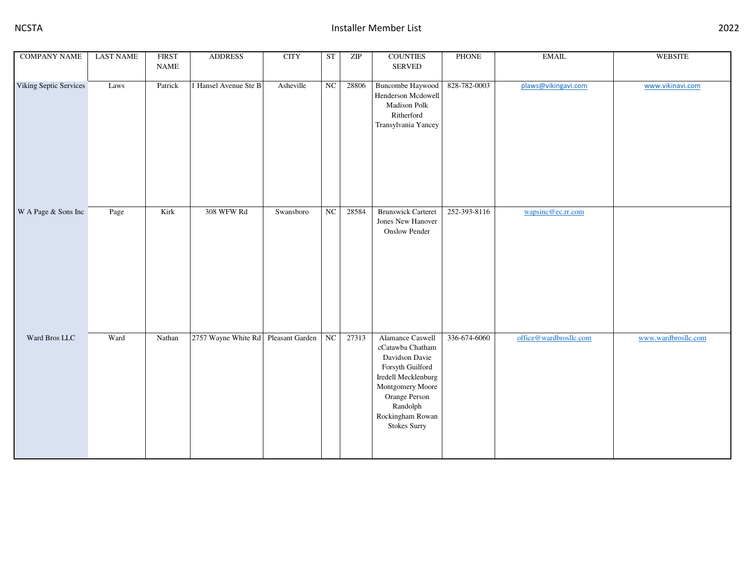| <b>COMPANY NAME</b>    | <b>LAST NAME</b> | <b>FIRST</b><br><b>NAME</b> | <b>ADDRESS</b>                      | <b>CITY</b> | <b>ST</b>   | $\ensuremath{\mathrm{ZIP}}$ | <b>COUNTIES</b><br><b>SERVED</b>                                                                                                                                                              | PHONE        | $\operatorname{EMAIL}$ | <b>WEBSITE</b>      |
|------------------------|------------------|-----------------------------|-------------------------------------|-------------|-------------|-----------------------------|-----------------------------------------------------------------------------------------------------------------------------------------------------------------------------------------------|--------------|------------------------|---------------------|
| Viking Septic Services | Laws             | Patrick                     | 1 Hansel Avenue Ste B               | Asheville   | $_{\rm NC}$ | 28806                       | <b>Buncombe Haywood</b><br>Henderson Mcdowell<br>Madison Polk<br>Ritherford<br>Transylvania Yancey                                                                                            | 828-782-0003 | plaws@vikingavi.com    | www.vikinavi.com    |
| W A Page & Sons Inc    | Page             | Kirk                        | 308 WFW Rd                          | Swansboro   | NC          | 28584                       | <b>Brunswick Carteret</b><br>Jones New Hanover<br><b>Onslow Pender</b>                                                                                                                        | 252-393-8116 | wapsinc@ec.rr.com      |                     |
| Ward Bros LLC          | Ward             | Nathan                      | 2757 Wayne White Rd Pleasant Garden |             | NC          | 27313                       | Alamance Caswell<br>cCatawba Chatham<br>Davidson Davie<br>Forsyth Guilford<br>Iredell Mecklenburg<br>Montgomery Moore<br>Orange Person<br>Randolph<br>Rockingham Rowan<br><b>Stokes Surry</b> | 336-674-6060 | office@wardbrosllc.com | www.wardbrosllc.com |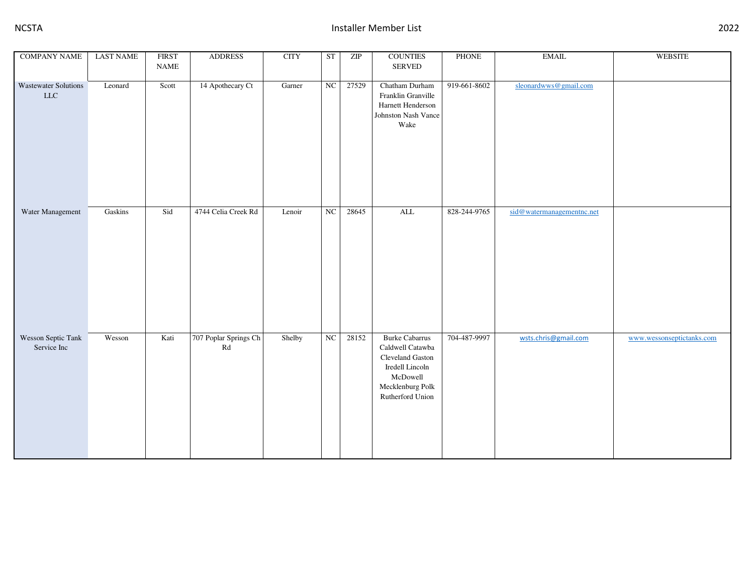| <b>COMPANY NAME</b>                        | <b>LAST NAME</b> | <b>FIRST</b><br><b>NAME</b> | <b>ADDRESS</b>                                   | <b>CITY</b> | <b>ST</b> | $\ensuremath{\mathrm{ZIP}}$ | <b>COUNTIES</b><br>SERVED                                                                                                            | PHONE        | $\operatorname{EMAIL}$    | <b>WEBSITE</b>            |
|--------------------------------------------|------------------|-----------------------------|--------------------------------------------------|-------------|-----------|-----------------------------|--------------------------------------------------------------------------------------------------------------------------------------|--------------|---------------------------|---------------------------|
| <b>Wastewater Solutions</b><br>${\rm LLC}$ | Leonard          | Scott                       | 14 Apothecary Ct                                 | Garner      | NC        | 27529                       | Chatham Durham<br>Franklin Granville<br>Harnett Henderson<br>Johnston Nash Vance<br>Wake                                             | 919-661-8602 | sleonardwws@gmail.com     |                           |
| Water Management                           | Gaskins          | Sid                         | 4744 Celia Creek Rd                              | Lenoir      | NC        | 28645                       | $\overline{\text{ALL}}$                                                                                                              | 828-244-9765 | sid@watermanagementnc.net |                           |
| Wesson Septic Tank<br>Service Inc          | Wesson           | Kati                        | 707 Poplar Springs Ch<br>$\mathbf{R} \mathbf{d}$ | Shelby      | NC        | 28152                       | <b>Burke Cabarrus</b><br>Caldwell Catawba<br>Cleveland Gaston<br>Iredell Lincoln<br>McDowell<br>Mecklenburg Polk<br>Rutherford Union | 704-487-9997 | wsts.chris@gmail.com      | www.wessonseptictanks.com |